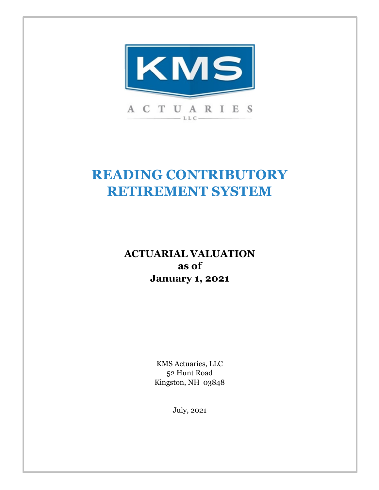

# **READING CONTRIBUTORY RETIREMENT SYSTEM**

# **ACTUARIAL VALUATION as of January 1, 2021**

52 Hunt Road KMS Actuaries, LLC Kingston, NH 03848

July, 2021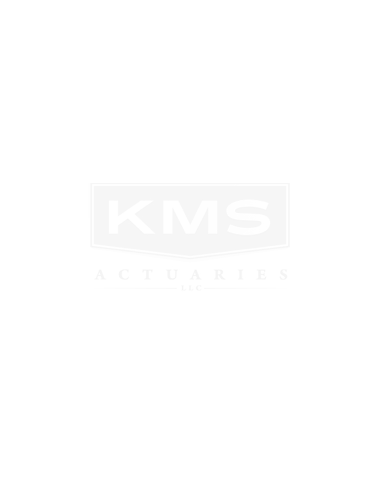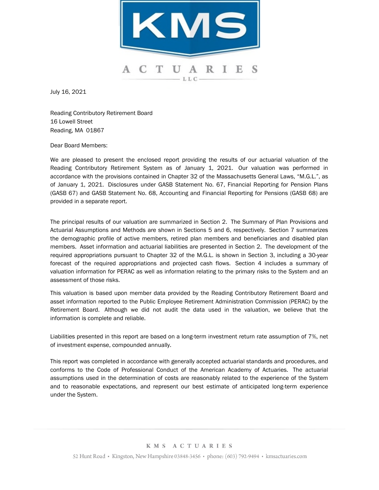

July 16, 2021

Reading Contributory Retirement Board 16 Lowell Street Reading, MA 01867

Dear Board Members:

We are pleased to present the enclosed report providing the results of our actuarial valuation of the Reading Contributory Retirement System as of January 1, 2021. Our valuation was performed in accordance with the provisions contained in Chapter 32 of the Massachusetts General Laws, "M.G.L.", as of January 1, 2021. Disclosures under GASB Statement No. 67, Financial Reporting for Pension Plans (GASB 67) and GASB Statement No. 68, Accounting and Financial Reporting for Pensions (GASB 68) are provided in a separate report.

The principal results of our valuation are summarized in Section 2. The Summary of Plan Provisions and Actuarial Assumptions and Methods are shown in Sections 5 and 6, respectively. Section 7 summarizes the demographic profile of active members, retired plan members and beneficiaries and disabled plan members. Asset information and actuarial liabilities are presented in Section 2. The development of the required appropriations pursuant to Chapter 32 of the M.G.L. is shown in Section 3, including a 30-year forecast of the required appropriations and projected cash flows. Section 4 includes a summary of valuation information for PERAC as well as information relating to the primary risks to the System and an assessment of those risks.

This valuation is based upon member data provided by the Reading Contributory Retirement Board and asset information reported to the Public Employee Retirement Administration Commission (PERAC) by the Retirement Board. Although we did not audit the data used in the valuation, we believe that the information is complete and reliable.

Liabilities presented in this report are based on a long-term investment return rate assumption of 7%, net of investment expense, compounded annually.

This report was completed in accordance with generally accepted actuarial standards and procedures, and conforms to the Code of Professional Conduct of the American Academy of Actuaries. The actuarial assumptions used in the determination of costs are reasonably related to the experience of the System and to reasonable expectations, and represent our best estimate of anticipated long-term experience under the System.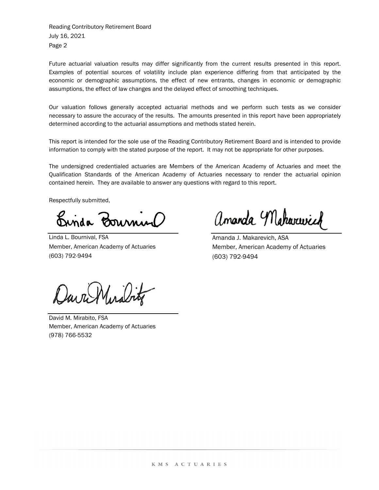Page 2 Reading Contributory Retirement Board July 16, 2021

Future actuarial valuation results may differ significantly from the current results presented in this report. Examples of potential sources of volatility include plan experience differing from that anticipated by the economic or demographic assumptions, the effect of new entrants, changes in economic or demographic assumptions, the effect of law changes and the delayed effect of smoothing techniques.

Our valuation follows generally accepted actuarial methods and we perform such tests as we consider necessary to assure the accuracy of the results. The amounts presented in this report have been appropriately determined according to the actuarial assumptions and methods stated herein.

This report is intended for the sole use of the Reading Contributory Retirement Board and is intended to provide information to comply with the stated purpose of the report. It may not be appropriate for other purposes.

The undersigned credentialed actuaries are Members of the American Academy of Actuaries and meet the Qualification Standards of the American Academy of Actuaries necessary to render the actuarial opinion contained herein. They are available to answer any questions with regard to this report.

Respectfully submitted,

Dunda Bournin

Linda L. Bournival, FSA Member, American Academy of Actuaries (603) 792-9494

amanda Maharcurich

(603) 792-9494 Amanda J. Makarevich, ASA Member, American Academy of Actuaries

as a Miral

David M. Mirabito, FSA Member, American Academy of Actuaries (978) 766-5532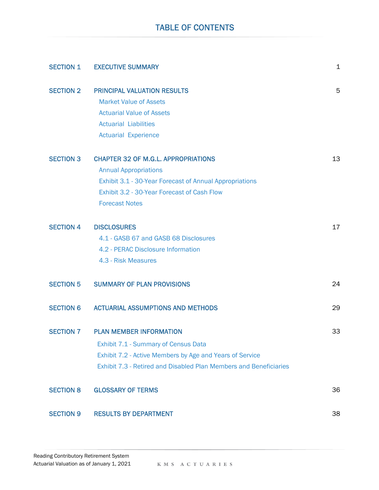| <b>SECTION 1</b> | <b>EXECUTIVE SUMMARY</b>                                                                                                                                                                                      | 1  |
|------------------|---------------------------------------------------------------------------------------------------------------------------------------------------------------------------------------------------------------|----|
| <b>SECTION 2</b> | <b>PRINCIPAL VALUATION RESULTS</b><br><b>Market Value of Assets</b><br><b>Actuarial Value of Assets</b><br><b>Actuarial Liabilities</b>                                                                       | 5  |
|                  | <b>Actuarial Experience</b>                                                                                                                                                                                   |    |
| <b>SECTION 3</b> | <b>CHAPTER 32 OF M.G.L. APPROPRIATIONS</b><br><b>Annual Appropriations</b><br>Exhibit 3.1 - 30-Year Forecast of Annual Appropriations<br>Exhibit 3.2 - 30-Year Forecast of Cash Flow<br><b>Forecast Notes</b> | 13 |
| <b>SECTION 4</b> | <b>DISCLOSURES</b><br>4.1 - GASB 67 and GASB 68 Disclosures<br>4.2 - PERAC Disclosure Information<br>4.3 - Risk Measures                                                                                      | 17 |
| <b>SECTION 5</b> | <b>SUMMARY OF PLAN PROVISIONS</b>                                                                                                                                                                             | 24 |
| <b>SECTION 6</b> | <b>ACTUARIAL ASSUMPTIONS AND METHODS</b>                                                                                                                                                                      | 29 |
| <b>SECTION 7</b> | <b>PLAN MEMBER INFORMATION</b><br>Exhibit 7.1 - Summary of Census Data<br>Exhibit 7.2 - Active Members by Age and Years of Service<br>Exhibit 7.3 - Retired and Disabled Plan Members and Beneficiaries       | 33 |
| <b>SECTION 8</b> | <b>GLOSSARY OF TERMS</b>                                                                                                                                                                                      | 36 |
| <b>SECTION 9</b> | <b>RESULTS BY DEPARTMENT</b>                                                                                                                                                                                  | 38 |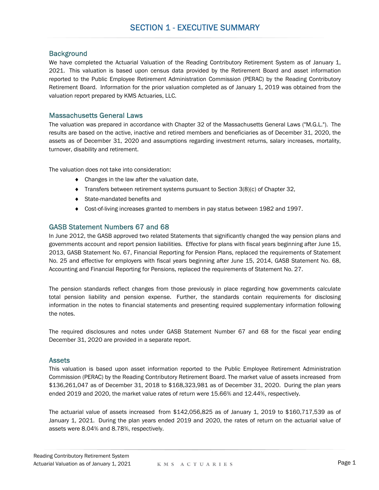### **Background**

We have completed the Actuarial Valuation of the Reading Contributory Retirement System as of January 1, 2021. This valuation is based upon census data provided by the Retirement Board and asset information reported to the Public Employee Retirement Administration Commission (PERAC) by the Reading Contributory Retirement Board. Information for the prior valuation completed as of January 1, 2019 was obtained from the valuation report prepared by KMS Actuaries, LLC.

### Massachusetts General Laws

The valuation was prepared in accordance with Chapter 32 of the Massachusetts General Laws ("M.G.L."). The results are based on the active, inactive and retired members and beneficiaries as of December 31, 2020, the assets as of December 31, 2020 and assumptions regarding investment returns, salary increases, mortality, turnover, disability and retirement.

The valuation does not take into consideration:

- ♦ Changes in the law after the valuation date,
- $\blacklozenge$  Transfers between retirement systems pursuant to Section 3(8)(c) of Chapter 32,
- ♦ State-mandated benefits and
- ♦ Cost-of-living increases granted to members in pay status between 1982 and 1997.

### GASB Statement Numbers 67 and 68

In June 2012, the GASB approved two related Statements that significantly changed the way pension plans and governments account and report pension liabilities. Effective for plans with fiscal years beginning after June 15, 2013, GASB Statement No. 67, Financial Reporting for Pension Plans, replaced the requirements of Statement No. 25 and effective for employers with fiscal years beginning after June 15, 2014, GASB Statement No. 68, Accounting and Financial Reporting for Pensions, replaced the requirements of Statement No. 27.

The pension standards reflect changes from those previously in place regarding how governments calculate total pension liability and pension expense. Further, the standards contain requirements for disclosing information in the notes to financial statements and presenting required supplementary information following the notes.

The required disclosures and notes under GASB Statement Number 67 and 68 for the fiscal year ending December 31, 2020 are provided in a separate report.

#### Assets

This valuation is based upon asset information reported to the Public Employee Retirement Administration Commission (PERAC) by the Reading Contributory Retirement Board. The market value of assets increased from \$136,261,047 as of December 31, 2018 to \$168,323,981 as of December 31, 2020. During the plan years ended 2019 and 2020, the market value rates of return were 15.66% and 12.44%, respectively.

The actuarial value of assets increased from \$142,056,825 as of January 1, 2019 to \$160,717,539 as of January 1, 2021. During the plan years ended 2019 and 2020, the rates of return on the actuarial value of assets were 8.04% and 8.78%, respectively.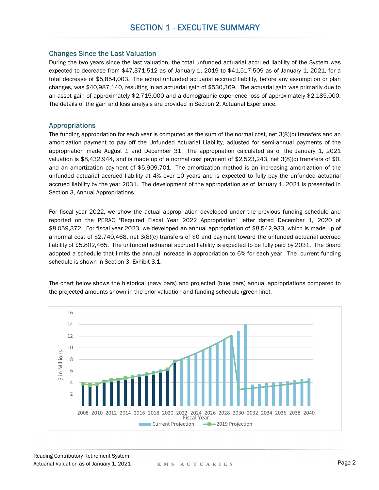### Changes Since the Last Valuation

During the two years since the last valuation, the total unfunded actuarial accrued liability of the System was expected to decrease from \$47,371,512 as of January 1, 2019 to \$41,517,509 as of January 1, 2021, for a total decrease of \$5,854,003. The actual unfunded actuarial accrued liability, before any assumption or plan changes, was \$40,987,140, resulting in an actuarial gain of \$530,369. The actuarial gain was primarily due to an asset gain of approximately \$2,715,000 and a demographic experience loss of approximately \$2,185,000. The details of the gain and loss analysis are provided in Section 2, Actuarial Experience.

### Appropriations

The funding appropriation for each year is computed as the sum of the normal cost, net 3(8)(c) transfers and an amortization payment to pay off the Unfunded Actuarial Liability, adjusted for semi-annual payments of the appropriation made August 1 and December 31. The appropriation calculated as of the January 1, 2021 valuation is \$8,432,944, and is made up of a normal cost payment of \$2,523,243, net 3(8)(c) transfers of \$0, and an amortization payment of \$5,909,701. The amortization method is an increasing amortization of the unfunded actuarial accrued liability at 4% over 10 years and is expected to fully pay the unfunded actuarial accrued liability by the year 2031. The development of the appropriation as of January 1, 2021 is presented in Section 3, Annual Appropriations.

For fiscal year 2022, we show the actual appropriation developed under the previous funding schedule and reported on the PERAC "Required Fiscal Year 2022 Appropriation" letter dated December 1, 2020 of \$8,059,372. For fiscal year 2023, we developed an annual appropriation of \$8,542,933, which is made up of a normal cost of \$2,740,468, net 3(8)(c) transfers of \$0 and payment toward the unfunded actuarial accrued liability of \$5,802,465. The unfunded actuarial accrued liability is expected to be fully paid by 2031. The Board adopted a schedule that limits the annual increase in appropriation to 6% for each year. The current funding schedule is shown in Section 3, Exhibit 3.1.

The chart below shows the historical (navy bars) and projected (blue bars) annual appropriations compared to the projected amounts shown in the prior valuation and funding schedule (green line).

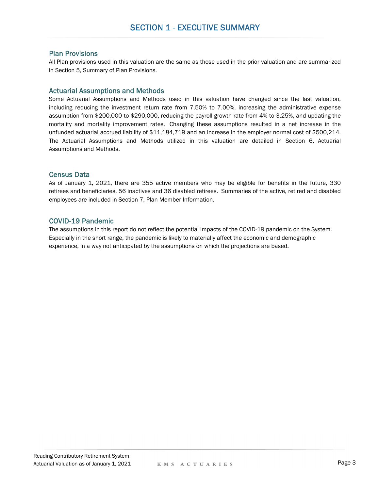### Plan Provisions

All Plan provisions used in this valuation are the same as those used in the prior valuation and are summarized in Section 5, Summary of Plan Provisions.

### Actuarial Assumptions and Methods

Some Actuarial Assumptions and Methods used in this valuation have changed since the last valuation, including reducing the investment return rate from 7.50% to 7.00%, increasing the administrative expense assumption from \$200,000 to \$290,000, reducing the payroll growth rate from 4% to 3.25%, and updating the mortality and mortality improvement rates. Changing these assumptions resulted in a net increase in the unfunded actuarial accrued liability of \$11,184,719 and an increase in the employer normal cost of \$500,214. The Actuarial Assumptions and Methods utilized in this valuation are detailed in Section 6, Actuarial Assumptions and Methods.

#### Census Data

As of January 1, 2021, there are 355 active members who may be eligible for benefits in the future, 330 retirees and beneficiaries, 56 inactives and 36 disabled retirees. Summaries of the active, retired and disabled employees are included in Section 7, Plan Member Information.

### COVID-19 Pandemic

The assumptions in this report do not reflect the potential impacts of the COVID-19 pandemic on the System. Especially in the short range, the pandemic is likely to materially affect the economic and demographic experience, in a way not anticipated by the assumptions on which the projections are based.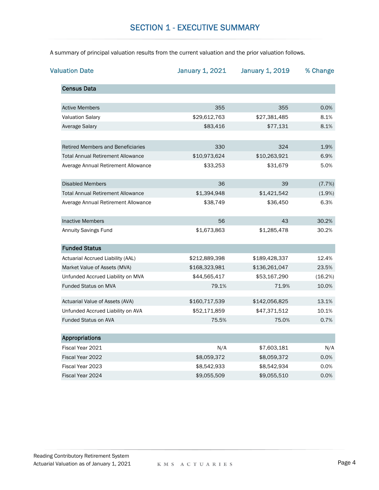A summary of principal valuation results from the current valuation and the prior valuation follows.

| <b>Valuation Date</b>                    | <b>January 1, 2021</b> | <b>January 1, 2019</b> | % Change  |
|------------------------------------------|------------------------|------------------------|-----------|
| Census Data                              |                        |                        |           |
|                                          |                        |                        |           |
| <b>Active Members</b>                    | 355                    | 355                    | 0.0%      |
| <b>Valuation Salary</b>                  | \$29,612,763           | \$27,381,485           | 8.1%      |
| Average Salary                           | \$83,416               | \$77,131               | 8.1%      |
| <b>Retired Members and Beneficiaries</b> | 330                    | 324                    | 1.9%      |
| <b>Total Annual Retirement Allowance</b> | \$10,973,624           | \$10,263,921           | 6.9%      |
| Average Annual Retirement Allowance      | \$33,253               | \$31,679               | 5.0%      |
| <b>Disabled Members</b>                  | 36                     | 39                     | (7.7%)    |
| <b>Total Annual Retirement Allowance</b> | \$1,394,948            | \$1,421,542            | $(1.9\%)$ |
| Average Annual Retirement Allowance      | \$38,749               | \$36,450               | 6.3%      |
| <b>Inactive Members</b>                  | 56                     | 43                     | 30.2%     |
| Annuity Savings Fund                     | \$1,673,863            | \$1,285,478            | 30.2%     |
| <b>Funded Status</b>                     |                        |                        |           |
| Actuarial Accrued Liability (AAL)        | \$212,889,398          | \$189,428,337          | 12.4%     |
| Market Value of Assets (MVA)             | \$168,323,981          | \$136,261,047          | 23.5%     |
| Unfunded Accrued Liability on MVA        | \$44,565,417           | \$53,167,290           | (16.2%)   |
| <b>Funded Status on MVA</b>              | 79.1%                  | 71.9%                  | 10.0%     |
| Actuarial Value of Assets (AVA)          | \$160,717,539          | \$142,056,825          | 13.1%     |
| Unfunded Accrued Liability on AVA        | \$52,171,859           | \$47,371,512           | 10.1%     |
| <b>Funded Status on AVA</b>              | 75.5%                  | 75.0%                  | 0.7%      |
| Appropriations                           |                        |                        |           |
| Fiscal Year 2021                         | N/A                    | \$7,603,181            | N/A       |
| Fiscal Year 2022                         | \$8,059,372            | \$8,059,372            | 0.0%      |
| Fiscal Year 2023                         | \$8,542,933            | \$8,542,934            | 0.0%      |
| Fiscal Year 2024                         | \$9,055,509            | \$9,055,510            | 0.0%      |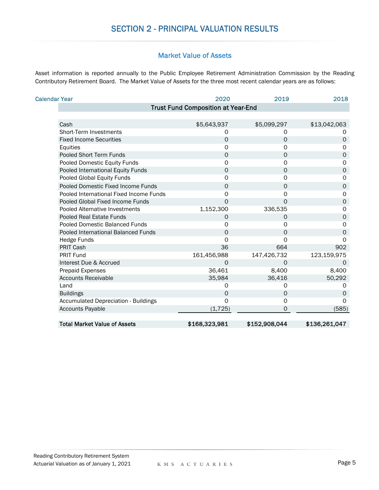# Market Value of Assets

Asset information is reported annually to the Public Employee Retirement Administration Commission by the Reading Contributory Retirement Board. The Market Value of Assets for the three most recent calendar years are as follows:

| <b>Calendar Year</b> |                                             | 2020                                      | 2019          | 2018          |
|----------------------|---------------------------------------------|-------------------------------------------|---------------|---------------|
|                      |                                             | <b>Trust Fund Composition at Year-End</b> |               |               |
|                      |                                             |                                           |               |               |
|                      | Cash                                        | \$5,643,937                               | \$5,099,297   | \$13,042,063  |
|                      | Short-Term Investments                      | 0                                         | $\Omega$      | $\Omega$      |
|                      | <b>Fixed Income Securities</b>              | $\mathbf 0$                               | $\mathbf 0$   | $\circ$       |
|                      | Equities                                    | 0                                         | 0             | 0             |
|                      | Pooled Short Term Funds                     | 0                                         | $\Omega$      | 0             |
|                      | Pooled Domestic Equity Funds                | 0                                         | 0             | 0             |
|                      | Pooled International Equity Funds           | 0                                         | $\Omega$      | $\Omega$      |
|                      | Pooled Global Equity Funds                  | 0                                         | $\Omega$      | 0             |
|                      | Pooled Domestic Fixed Income Funds          | 0                                         | $\Omega$      | 0             |
|                      | Pooled International Fixed Income Funds     | 0                                         | $\Omega$      | $\Omega$      |
|                      | Pooled Global Fixed Income Funds            | $\Omega$                                  | $\Omega$      | $\Omega$      |
|                      | Pooled Alternative Investments              | 1,152,300                                 | 336,535       | 0             |
|                      | Pooled Real Estate Funds                    | 0                                         | $\circ$       | $\mathbf 0$   |
|                      | Pooled Domestic Balanced Funds              | 0                                         | 0             | 0             |
|                      | Pooled International Balanced Funds         | 0                                         | 0             | O             |
|                      | <b>Hedge Funds</b>                          | 0                                         | $\Omega$      | $\Omega$      |
|                      | PRIT Cash                                   | 36                                        | 664           | 902           |
|                      | <b>PRIT Fund</b>                            | 161,456,988                               | 147,426,732   | 123,159,975   |
|                      | Interest Due & Accrued                      | 0                                         | 0             | $\Omega$      |
|                      | Prepaid Expenses                            | 36,461                                    | 8,400         | 8,400         |
|                      | <b>Accounts Receivable</b>                  | 35,984                                    | 36,416        | 50,292        |
|                      | Land                                        | 0                                         | 0             | Ω             |
|                      | <b>Buildings</b>                            | 0                                         | 0             | 0             |
|                      | <b>Accumulated Depreciation - Buildings</b> | 0                                         | 0             | $\Omega$      |
|                      | <b>Accounts Payable</b>                     | (1, 725)                                  | 0             | (585)         |
|                      | <b>Total Market Value of Assets</b>         | \$168,323,981                             | \$152,908,044 | \$136,261,047 |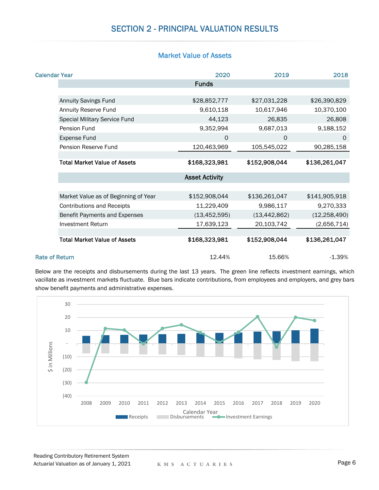# Market Value of Assets

| <b>Calendar Year</b>  |                                      | 2020                  | 2019           | 2018           |
|-----------------------|--------------------------------------|-----------------------|----------------|----------------|
|                       |                                      | <b>Funds</b>          |                |                |
|                       |                                      |                       |                |                |
|                       | <b>Annuity Savings Fund</b>          | \$28,852,777          | \$27,031,228   | \$26,390,829   |
|                       | Annuity Reserve Fund                 | 9,610,118             | 10,617,946     | 10,370,100     |
|                       | Special Military Service Fund        | 44,123                | 26,835         | 26,808         |
|                       | Pension Fund                         | 9,352,994             | 9,687,013      | 9,188,152      |
|                       | <b>Expense Fund</b>                  | $\Omega$              | $\Omega$       | $\Omega$       |
|                       | Pension Reserve Fund                 | 120,463,969           | 105,545,022    | 90,285,158     |
|                       |                                      |                       |                |                |
|                       | <b>Total Market Value of Assets</b>  | \$168,323,981         | \$152,908,044  | \$136,261,047  |
|                       |                                      | <b>Asset Activity</b> |                |                |
|                       |                                      |                       |                |                |
|                       | Market Value as of Beginning of Year | \$152,908,044         | \$136,261,047  | \$141,905,918  |
|                       | <b>Contributions and Receipts</b>    | 11,229,409            | 9,986,117      | 9,270,333      |
|                       | Benefit Payments and Expenses        | (13, 452, 595)        | (13, 442, 862) | (12, 258, 490) |
|                       | <b>Investment Return</b>             | 17,639,123            | 20,103,742     | (2,656,714)    |
|                       |                                      |                       |                |                |
|                       | <b>Total Market Value of Assets</b>  | \$168,323,981         | \$152,908,044  | \$136,261,047  |
| <b>Rate of Return</b> |                                      | 12.44%                | 15.66%         | $-1.39%$       |

Below are the receipts and disbursements during the last 13 years. The green line reflects investment earnings, which vacillate as investment markets fluctuate. Blue bars indicate contributions, from employees and employers, and grey bars show benefit payments and administrative expenses.

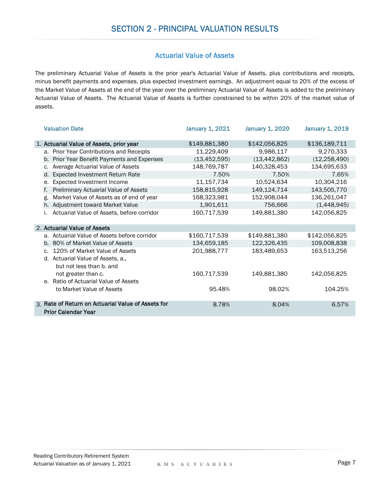# Actuarial Value of Assets

The preliminary Actuarial Value of Assets is the prior year's Actuarial Value of Assets, plus contributions and receipts, minus benefit payments and expenses, plus expected investment earnings. An adjustment equal to 20% of the excess of the Market Value of Assets at the end of the year over the preliminary Actuarial Value of Assets is added to the preliminary Actuarial Value of Assets. The Actuarial Value of Assets is further constrained to be within 20% of the market value of assets.

|    | <b>Valuation Date</b>                                                            | <b>January 1, 2021</b> | <b>January 1, 2020</b> | <b>January 1, 2019</b> |
|----|----------------------------------------------------------------------------------|------------------------|------------------------|------------------------|
|    | 1. Actuarial Value of Assets, prior year                                         | \$149,881,380          | \$142,056,825          | \$136,189,711          |
|    | a. Prior Year Contributions and Receipts                                         | 11,229,409             | 9,986,117              | 9,270,333              |
|    | b. Prior Year Benefit Payments and Expenses                                      | (13, 452, 595)         | (13, 442, 862)         | (12, 258, 490)         |
| c. | Average Actuarial Value of Assets                                                | 148,769,787            | 140,328,453            | 134,695,633            |
|    | d. Expected Investment Return Rate                                               | 7.50%                  | 7.50%                  | 7.65%                  |
| е. | <b>Expected Investment Income</b>                                                | 11, 157, 734           | 10,524,634             | 10,304,216             |
| f. | Preliminary Actuarial Value of Assets                                            | 158,815,928            | 149,124,714            | 143,505,770            |
| g. | Market Value of Assets as of end of year                                         | 168,323,981            | 152,908,044            | 136,261,047            |
|    | h. Adjustment toward Market Value                                                | 1,901,611              | 756,666                | (1,448,945)            |
| i. | Actuarial Value of Assets, before corridor                                       | 160,717,539            | 149,881,380            | 142,056,825            |
|    | 2. Actuarial Value of Assets                                                     |                        |                        |                        |
|    | a. Actuarial Value of Assets before corridor                                     | \$160,717,539          | \$149,881,380          | \$142,056,825          |
|    | b. 80% of Market Value of Assets                                                 | 134,659,185            | 122,326,435            | 109,008,838            |
| C. | 120% of Market Value of Assets                                                   | 201,988,777            | 183,489,653            | 163,513,256            |
|    | d. Actuarial Value of Assets, a.,<br>but not less than b. and                    |                        |                        |                        |
|    | not greater than c.                                                              | 160,717,539            | 149,881,380            | 142,056,825            |
|    | e. Ratio of Actuarial Value of Assets                                            |                        |                        |                        |
|    | to Market Value of Assets                                                        | 95.48%                 | 98.02%                 | 104.25%                |
|    | 3. Rate of Return on Actuarial Value of Assets for<br><b>Prior Calendar Year</b> | 8.78%                  | 8.04%                  | 6.57%                  |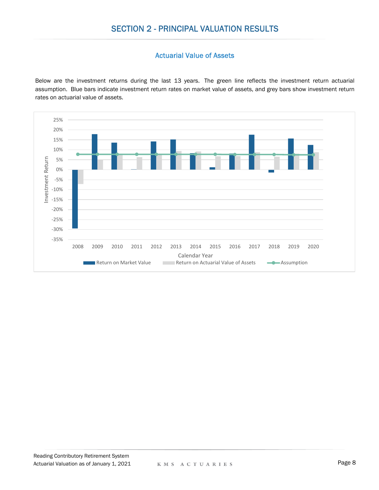# Actuarial Value of Assets

Below are the investment returns during the last 13 years. The green line reflects the investment return actuarial assumption. Blue bars indicate investment return rates on market value of assets, and grey bars show investment return rates on actuarial value of assets.

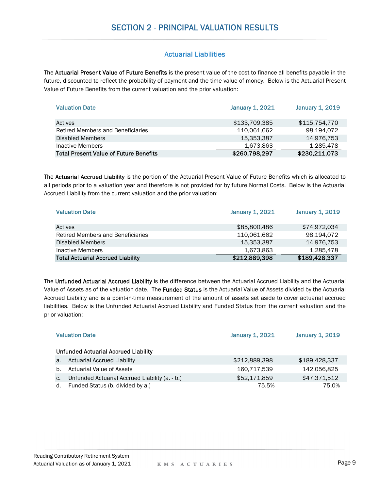# Actuarial Liabilities

The Actuarial Present Value of Future Benefits is the present value of the cost to finance all benefits payable in the future, discounted to reflect the probability of payment and the time value of money. Below is the Actuarial Present Value of Future Benefits from the current valuation and the prior valuation:

| <b>Valuation Date</b>                         | <b>January 1, 2021</b> | <b>January 1, 2019</b> |
|-----------------------------------------------|------------------------|------------------------|
| Actives                                       | \$133,709,385          | \$115,754,770          |
| <b>Retired Members and Beneficiaries</b>      | 110,061,662            | 98.194.072             |
| <b>Disabled Members</b>                       | 15,353,387             | 14,976,753             |
| Inactive Members                              | 1,673,863              | 1,285,478              |
| <b>Total Present Value of Future Benefits</b> | \$260,798,297          | \$230,211,073          |

The Actuarial Accrued Liability is the portion of the Actuarial Present Value of Future Benefits which is allocated to all periods prior to a valuation year and therefore is not provided for by future Normal Costs. Below is the Actuarial Accrued Liability from the current valuation and the prior valuation:

| <b>Valuation Date</b>                    | <b>January 1, 2021</b> | <b>January 1, 2019</b> |
|------------------------------------------|------------------------|------------------------|
| Actives                                  | \$85,800,486           | \$74.972.034           |
| <b>Retired Members and Beneficiaries</b> | 110,061,662            | 98.194.072             |
| <b>Disabled Members</b>                  | 15,353,387             | 14,976,753             |
| Inactive Members                         | 1,673,863              | 1,285,478              |
| <b>Total Actuarial Accrued Liability</b> | \$212,889,398          | \$189,428,337          |

The Unfunded Actuarial Accrued Liability is the difference between the Actuarial Accrued Liability and the Actuarial Value of Assets as of the valuation date. The Funded Status is the Actuarial Value of Assets divided by the Actuarial Accrued Liability and is a point-in-time measurement of the amount of assets set aside to cover actuarial accrued liabilities. Below is the Unfunded Actuarial Accrued Liability and Funded Status from the current valuation and the prior valuation:

| <b>Valuation Date</b> |                                                | <b>January 1, 2021</b> | <b>January 1, 2019</b> |
|-----------------------|------------------------------------------------|------------------------|------------------------|
|                       | <b>Unfunded Actuarial Accrued Liability</b>    |                        |                        |
| a.                    | <b>Actuarial Accrued Liability</b>             | \$212,889,398          | \$189,428,337          |
| b.                    | <b>Actuarial Value of Assets</b>               | 160,717,539            | 142.056.825            |
| c.                    | Unfunded Actuarial Accrued Liability (a. - b.) | \$52,171,859           | \$47,371,512           |
| d.                    | Funded Status (b. divided by a.)               | 75.5%                  | 75.0%                  |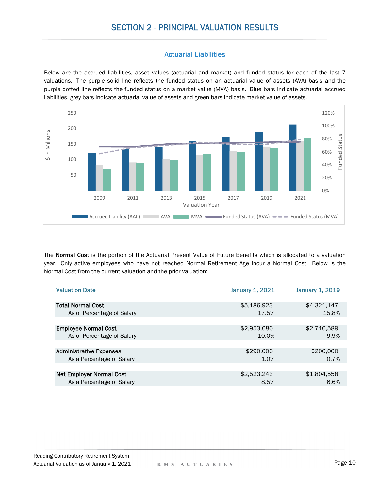### Actuarial Liabilities

Below are the accrued liabilities, asset values (actuarial and market) and funded status for each of the last 7 valuations. The purple solid line reflects the funded status on an actuarial value of assets (AVA) basis and the purple dotted line reflects the funded status on a market value (MVA) basis. Blue bars indicate actuarial accrued liabilities, grey bars indicate actuarial value of assets and green bars indicate market value of assets.



The Normal Cost is the portion of the Actuarial Present Value of Future Benefits which is allocated to a valuation year. Only active employees who have not reached Normal Retirement Age incur a Normal Cost. Below is the Normal Cost from the current valuation and the prior valuation:

| <b>Valuation Date</b>           | <b>January 1, 2021</b> | <b>January 1, 2019</b> |
|---------------------------------|------------------------|------------------------|
| <b>Total Normal Cost</b>        | \$5,186,923            | \$4,321,147            |
| As of Percentage of Salary      | 17.5%                  | 15.8%                  |
| <b>Employee Normal Cost</b>     | \$2,953,680            | \$2,716,589            |
| As of Percentage of Salary      | 10.0%                  | 9.9%                   |
| <b>Administrative Expenses</b>  | \$290,000              | \$200,000              |
| As a Percentage of Salary       | 1.0%                   | 0.7%                   |
| <b>Net Employer Normal Cost</b> | \$2,523,243            | \$1,804,558            |
| As a Percentage of Salary       | 8.5%                   | 6.6%                   |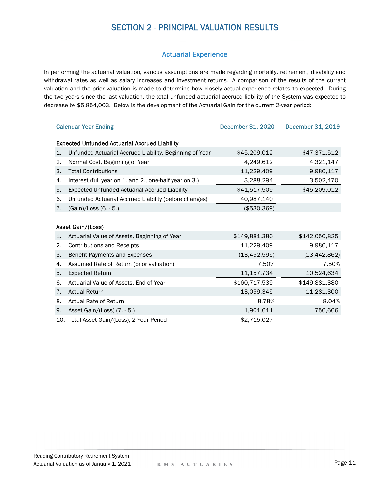## Actuarial Experience

In performing the actuarial valuation, various assumptions are made regarding mortality, retirement, disability and withdrawal rates as well as salary increases and investment returns. A comparison of the results of the current valuation and the prior valuation is made to determine how closely actual experience relates to expected. During the two years since the last valuation, the total unfunded actuarial accrued liability of the System was expected to decrease by \$5,854,003. Below is the development of the Actuarial Gain for the current 2-year period:

|    | <b>Calendar Year Ending</b>                             | December 31, 2020 | December 31, 2019 |
|----|---------------------------------------------------------|-------------------|-------------------|
|    | <b>Expected Unfunded Actuarial Accrued Liability</b>    |                   |                   |
| 1. | Unfunded Actuarial Accrued Liability, Beginning of Year | \$45,209,012      | \$47,371,512      |
| 2. | Normal Cost, Beginning of Year                          | 4,249,612         | 4,321,147         |
| 3. | <b>Total Contributions</b>                              | 11,229,409        | 9,986,117         |
| 4. | Interest (full year on 1. and 2., one-half year on 3.)  | 3,288,294         | 3,502,470         |
| 5. | <b>Expected Unfunded Actuarial Accrued Liability</b>    | \$41,517,509      | \$45,209,012      |
| 6. | Unfunded Actuarial Accrued Liability (before changes)   | 40,987,140        |                   |
| 7. | (Gain)/Loss (6. - 5.)                                   | (\$530,369)       |                   |
|    |                                                         |                   |                   |
|    | Asset Gain/(Loss)                                       |                   |                   |
| 1. | Actuarial Value of Assets, Beginning of Year            | \$149,881,380     | \$142,056,825     |
| 2. | <b>Contributions and Receipts</b>                       | 11,229,409        | 9,986,117         |
| 3. | Benefit Payments and Expenses                           | (13, 452, 595)    | (13, 442, 862)    |
| 4. | Assumed Rate of Return (prior valuation)                | 7.50%             | 7.50%             |
| 5. | <b>Expected Return</b>                                  | 11,157,734        | 10,524,634        |
| 6. | Actuarial Value of Assets, End of Year                  | \$160,717,539     | \$149,881,380     |
| 7. | <b>Actual Return</b>                                    | 13,059,345        | 11,281,300        |
| 8. | Actual Rate of Return                                   | 8.78%             | 8.04%             |
| 9. | Asset Gain/(Loss) (7. - 5.)                             | 1,901,611         | 756,666           |
|    | 10. Total Asset Gain/(Loss), 2-Year Period              | \$2,715,027       |                   |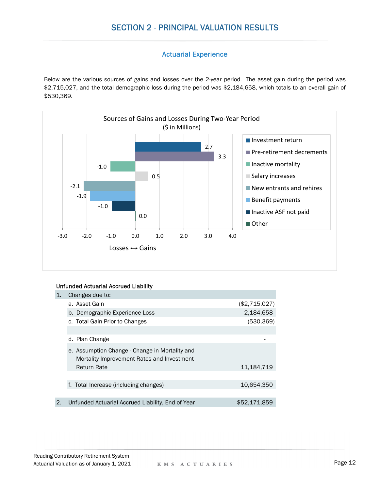# Actuarial Experience

Below are the various sources of gains and losses over the 2-year period. The asset gain during the period was \$2,715,027, and the total demographic loss during the period was \$2,184,658, which totals to an overall gain of \$530,369.



### Unfunded Actuarial Accrued Liability

| 1. | Changes due to:                                                                              |               |
|----|----------------------------------------------------------------------------------------------|---------------|
|    | a. Asset Gain                                                                                | (\$2,715,027) |
|    | b. Demographic Experience Loss                                                               | 2,184,658     |
|    | c. Total Gain Prior to Changes                                                               | (530, 369)    |
|    |                                                                                              |               |
|    | d. Plan Change                                                                               |               |
|    | e. Assumption Change - Change in Mortality and<br>Mortality Improvement Rates and Investment |               |
|    | <b>Return Rate</b>                                                                           | 11,184,719    |
|    |                                                                                              |               |
|    | f. Total Increase (including changes)                                                        | 10,654,350    |
|    |                                                                                              |               |
| 2. | Unfunded Actuarial Accrued Liability, End of Year                                            | \$52.171.859  |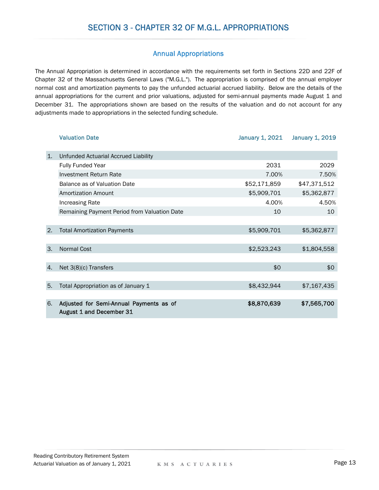# Annual Appropriations

The Annual Appropriation is determined in accordance with the requirements set forth in Sections 22D and 22F of Chapter 32 of the Massachusetts General Laws ("M.G.L."). The appropriation is comprised of the annual employer normal cost and amortization payments to pay the unfunded actuarial accrued liability. Below are the details of the annual appropriations for the current and prior valuations, adjusted for semi-annual payments made August 1 and December 31. The appropriations shown are based on the results of the valuation and do not account for any adjustments made to appropriations in the selected funding schedule.

|    | <b>Valuation Date</b>                                               | <b>January 1, 2021</b> | <b>January 1, 2019</b> |
|----|---------------------------------------------------------------------|------------------------|------------------------|
| 1. | Unfunded Actuarial Accrued Liability                                |                        |                        |
|    | <b>Fully Funded Year</b>                                            | 2031                   | 2029                   |
|    | Investment Return Rate                                              | 7.00%                  | 7.50%                  |
|    | Balance as of Valuation Date                                        | \$52,171,859           | \$47,371,512           |
|    | <b>Amortization Amount</b>                                          | \$5,909,701            | \$5,362,877            |
|    | <b>Increasing Rate</b>                                              | 4.00%                  | 4.50%                  |
|    | Remaining Payment Period from Valuation Date                        | 10                     | 10                     |
|    |                                                                     |                        |                        |
| 2. | <b>Total Amortization Payments</b>                                  | \$5,909,701            | \$5,362,877            |
|    |                                                                     |                        |                        |
| 3. | <b>Normal Cost</b>                                                  | \$2,523,243            | \$1,804,558            |
|    |                                                                     |                        |                        |
| 4. | Net 3(8)(c) Transfers                                               | \$0                    | \$0                    |
|    |                                                                     |                        |                        |
| 5. | Total Appropriation as of January 1                                 | \$8,432,944            | \$7,167,435            |
|    |                                                                     |                        |                        |
| 6. | Adjusted for Semi-Annual Payments as of<br>August 1 and December 31 | \$8,870,639            | \$7,565,700            |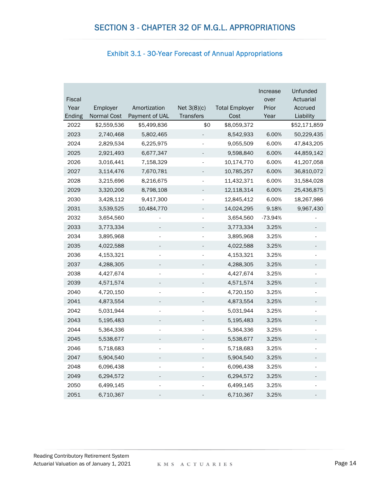| <b>Exhibit 3.1 - 30-Year Forecast of Annual Appropriations</b> |  |  |  |
|----------------------------------------------------------------|--|--|--|
|----------------------------------------------------------------|--|--|--|

| Fiscal<br>Year<br>Ending | Employer<br>Normal Cost | Amortization<br>Payment of UAL | Net $3(8)(c)$<br>Transfers | <b>Total Employer</b><br>Cost | Increase<br>over<br>Prior<br>Year | Unfunded<br>Actuarial<br>Accrued<br>Liability |
|--------------------------|-------------------------|--------------------------------|----------------------------|-------------------------------|-----------------------------------|-----------------------------------------------|
| 2022                     | \$2,559,536             | \$5,499,836                    | \$0                        | \$8,059,372                   |                                   | \$52,171,859                                  |
| 2023                     | 2,740,468               | 5,802,465                      |                            | 8,542,933                     | 6.00%                             | 50,229,435                                    |
| 2024                     | 2,829,534               | 6,225,975                      |                            | 9,055,509                     | 6.00%                             | 47,843,205                                    |
| 2025                     | 2,921,493               | 6,677,347                      | $\overline{\phantom{m}}$   | 9,598,840                     | 6.00%                             | 44,859,142                                    |
| 2026                     | 3,016,441               | 7,158,329                      |                            | 10,174,770                    | 6.00%                             | 41,207,058                                    |
| 2027                     | 3,114,476               | 7,670,781                      |                            | 10,785,257                    | 6.00%                             | 36,810,072                                    |
| 2028                     | 3,215,696               | 8,216,675                      |                            | 11,432,371                    | 6.00%                             | 31,584,028                                    |
| 2029                     | 3,320,206               | 8,798,108                      |                            | 12,118,314                    | 6.00%                             | 25,436,875                                    |
| 2030                     | 3,428,112               | 9,417,300                      |                            | 12,845,412                    | 6.00%                             | 18,267,986                                    |
| 2031                     | 3,539,525               | 10,484,770                     |                            | 14,024,295                    | 9.18%                             | 9,967,430                                     |
| 2032                     | 3,654,560               |                                |                            | 3,654,560                     | $-73.94%$                         |                                               |
| 2033                     | 3,773,334               |                                |                            | 3,773,334                     | 3.25%                             |                                               |
| 2034                     | 3,895,968               | ÷,                             | ÷,                         | 3,895,968                     | 3.25%                             |                                               |
| 2035                     | 4,022,588               |                                |                            | 4,022,588                     | 3.25%                             |                                               |
| 2036                     | 4,153,321               |                                |                            | 4,153,321                     | 3.25%                             |                                               |
| 2037                     | 4,288,305               |                                |                            | 4,288,305                     | 3.25%                             |                                               |
| 2038                     | 4,427,674               | ÷,                             |                            | 4,427,674                     | 3.25%                             |                                               |
| 2039                     | 4,571,574               | $\blacksquare$                 |                            | 4,571,574                     | 3.25%                             |                                               |
| 2040                     | 4,720,150               |                                |                            | 4,720,150                     | 3.25%                             |                                               |
| 2041                     | 4,873,554               |                                |                            | 4,873,554                     | 3.25%                             |                                               |
| 2042                     | 5,031,944               |                                |                            | 5,031,944                     | 3.25%                             |                                               |
| 2043                     | 5,195,483               | $\overline{\phantom{m}}$       | $\overline{\phantom{m}}$   | 5,195,483                     | 3.25%                             |                                               |
| 2044                     | 5,364,336               |                                |                            | 5,364,336                     | 3.25%                             |                                               |
| 2045                     | 5,538,677               |                                |                            | 5,538,677                     | 3.25%                             |                                               |
| 2046                     | 5,718,683               |                                |                            | 5,718,683                     | 3.25%                             |                                               |
| 2047                     | 5,904,540               | $\overline{\phantom{0}}$       |                            | 5,904,540                     | 3.25%                             |                                               |
| 2048                     | 6,096,438               |                                |                            | 6,096,438                     | 3.25%                             |                                               |
| 2049                     | 6,294,572               |                                |                            | 6,294,572                     | 3.25%                             |                                               |
| 2050                     | 6,499,145               |                                |                            | 6,499,145                     | 3.25%                             |                                               |
| 2051                     | 6,710,367               |                                |                            | 6,710,367                     | 3.25%                             |                                               |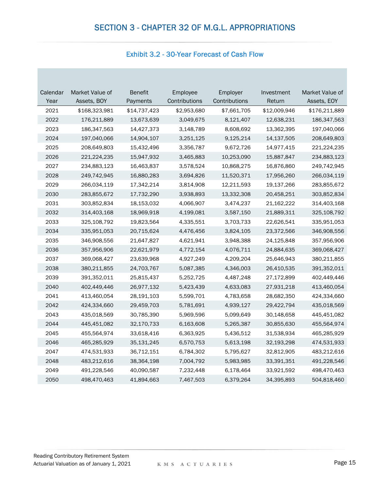# SECTION 3 - CHAPTER 32 OF M.G.L. APPROPRIATIONS

| Calendar<br>Year | Market Value of<br>Assets, BOY | <b>Benefit</b><br>Payments | Employee<br>Contributions | Employer<br>Contributions | Investment<br>Return | Market Value of<br>Assets, EOY |
|------------------|--------------------------------|----------------------------|---------------------------|---------------------------|----------------------|--------------------------------|
| 2021             | \$168,323,981                  | \$14,737,423               | \$2,953,680               | \$7,661,705               | \$12,009,946         | \$176,211,889                  |
| 2022             | 176,211,889                    | 13,673,639                 | 3,049,675                 | 8,121,407                 | 12,638,231           | 186,347,563                    |
| 2023             | 186,347,563                    | 14,427,373                 | 3,148,789                 | 8,608,692                 | 13,362,395           | 197,040,066                    |
| 2024             | 197,040,066                    | 14,904,107                 | 3,251,125                 | 9,125,214                 | 14,137,505           | 208,649,803                    |
| 2025             | 208,649,803                    | 15,432,496                 | 3,356,787                 | 9,672,726                 | 14,977,415           | 221,224,235                    |
| 2026             | 221,224,235                    | 15,947,932                 | 3,465,883                 | 10,253,090                | 15,887,847           | 234,883,123                    |
| 2027             | 234,883,123                    | 16,463,837                 | 3,578,524                 | 10,868,275                | 16,876,860           | 249,742,945                    |
| 2028             | 249,742,945                    | 16,880,283                 | 3,694,826                 | 11,520,371                | 17,956,260           | 266,034,119                    |
| 2029             | 266,034,119                    | 17,342,214                 | 3,814,908                 | 12,211,593                | 19,137,266           | 283,855,672                    |
| 2030             | 283,855,672                    | 17,732,290                 | 3,938,893                 | 13,332,308                | 20,458,251           | 303,852,834                    |
| 2031             | 303,852,834                    | 18,153,032                 | 4,066,907                 | 3,474,237                 | 21,162,222           | 314,403,168                    |
| 2032             | 314,403,168                    | 18,969,918                 | 4,199,081                 | 3,587,150                 | 21,889,311           | 325,108,792                    |
| 2033             | 325,108,792                    | 19,823,564                 | 4,335,551                 | 3,703,733                 | 22,626,541           | 335,951,053                    |
| 2034             | 335,951,053                    | 20,715,624                 | 4,476,456                 | 3,824,105                 | 23,372,566           | 346,908,556                    |
| 2035             | 346,908,556                    | 21,647,827                 | 4,621,941                 | 3,948,388                 | 24,125,848           | 357,956,906                    |
| 2036             | 357,956,906                    | 22,621,979                 | 4,772,154                 | 4,076,711                 | 24,884,635           | 369,068,427                    |
| 2037             | 369,068,427                    | 23,639,968                 | 4,927,249                 | 4,209,204                 | 25,646,943           | 380,211,855                    |
| 2038             | 380,211,855                    | 24,703,767                 | 5,087,385                 | 4,346,003                 | 26,410,535           | 391,352,011                    |
| 2039             | 391,352,011                    | 25,815,437                 | 5,252,725                 | 4,487,248                 | 27,172,899           | 402,449,446                    |
| 2040             | 402,449,446                    | 26,977,132                 | 5,423,439                 | 4,633,083                 | 27,931,218           | 413,460,054                    |
| 2041             | 413,460,054                    | 28,191,103                 | 5,599,701                 | 4,783,658                 | 28,682,350           | 424,334,660                    |
| 2042             | 424,334,660                    | 29,459,703                 | 5,781,691                 | 4,939,127                 | 29,422,794           | 435,018,569                    |
| 2043             | 435,018,569                    | 30,785,390                 | 5,969,596                 | 5,099,649                 | 30,148,658           | 445,451,082                    |
| 2044             | 445,451,082                    | 32,170,733                 | 6,163,608                 | 5,265,387                 | 30,855,630           | 455,564,974                    |
| 2045             | 455,564,974                    | 33,618,416                 | 6,363,925                 | 5,436,512                 | 31,538,934           | 465,285,929                    |
| 2046             | 465,285,929                    | 35,131,245                 | 6,570,753                 | 5,613,198                 | 32,193,298           | 474,531,933                    |
| 2047             | 474,531,933                    | 36,712,151                 | 6,784,302                 | 5,795,627                 | 32,812,905           | 483,212,616                    |
| 2048             | 483,212,616                    | 38,364,198                 | 7,004,792                 | 5,983,985                 | 33,391,351           | 491,228,546                    |
| 2049             | 491,228,546                    | 40,090,587                 | 7,232,448                 | 6,178,464                 | 33,921,592           | 498,470,463                    |
| 2050             | 498,470,463                    | 41,894,663                 | 7,467,503                 | 6,379,264                 | 34,395,893           | 504,818,460                    |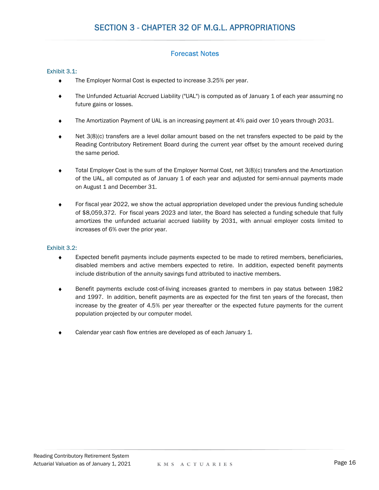# Forecast Notes

#### Exhibit 3.1:

- ♦ The Employer Normal Cost is expected to increase 3.25% per year.
- ♦ The Unfunded Actuarial Accrued Liability ("UAL") is computed as of January 1 of each year assuming no future gains or losses.
- ♦ The Amortization Payment of UAL is an increasing payment at 4% paid over 10 years through 2031.
- ♦ Net 3(8)(c) transfers are a level dollar amount based on the net transfers expected to be paid by the Reading Contributory Retirement Board during the current year offset by the amount received during the same period.
- ♦ Total Employer Cost is the sum of the Employer Normal Cost, net 3(8)(c) transfers and the Amortization of the UAL, all computed as of January 1 of each year and adjusted for semi-annual payments made on August 1 and December 31.
- ♦ For fiscal year 2022, we show the actual appropriation developed under the previous funding schedule of \$8,059,372. For fiscal years 2023 and later, the Board has selected a funding schedule that fully amortizes the unfunded actuarial accrued liability by 2031, with annual employer costs limited to increases of 6% over the prior year.

#### Exhibit 3.2:

- ♦ Expected benefit payments include payments expected to be made to retired members, beneficiaries, disabled members and active members expected to retire. In addition, expected benefit payments include distribution of the annuity savings fund attributed to inactive members.
- ♦ Benefit payments exclude cost-of-living increases granted to members in pay status between 1982 and 1997. In addition, benefit payments are as expected for the first ten years of the forecast, then increase by the greater of 4.5% per year thereafter or the expected future payments for the current population projected by our computer model.
- ♦ Calendar year cash flow entries are developed as of each January 1.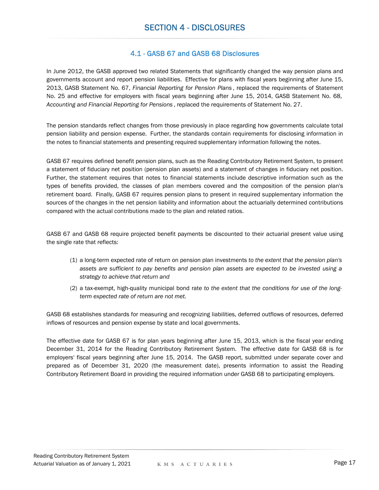# SECTION 4 - DISCLOSURES

### 4.1 - GASB 67 and GASB 68 Disclosures

In June 2012, the GASB approved two related Statements that significantly changed the way pension plans and governments account and report pension liabilities. Effective for plans with fiscal years beginning after June 15, 2013, GASB Statement No. 67, *Financial Reporting for Pension Plans* , replaced the requirements of Statement No. 25 and effective for employers with fiscal years beginning after June 15, 2014, GASB Statement No. 68, *Accounting and Financial Reporting for Pensions* , replaced the requirements of Statement No. 27.

The pension standards reflect changes from those previously in place regarding how governments calculate total pension liability and pension expense. Further, the standards contain requirements for disclosing information in the notes to financial statements and presenting required supplementary information following the notes.

GASB 67 requires defined benefit pension plans, such as the Reading Contributory Retirement System, to present a statement of fiduciary net position (pension plan assets) and a statement of changes in fiduciary net position. Further, the statement requires that notes to financial statements include descriptive information such as the types of benefits provided, the classes of plan members covered and the composition of the pension plan's retirement board. Finally, GASB 67 requires pension plans to present in required supplementary information the sources of the changes in the net pension liability and information about the actuarially determined contributions compared with the actual contributions made to the plan and related ratios.

GASB 67 and GASB 68 require projected benefit payments be discounted to their actuarial present value using the single rate that reflects:

- (1) a long-term expected rate of return on pension plan investments *to the extent that the pension plan's assets are sufficient to pay benefits and pension plan assets are expected to be invested using a strategy to achieve that return and*
- (2) a tax-exempt, high-quality municipal bond rate *to the extent that the conditions for use of the longterm expected rate of return are not met.*

GASB 68 establishes standards for measuring and recognizing liabilities, deferred outflows of resources, deferred inflows of resources and pension expense by state and local governments.

The effective date for GASB 67 is for plan years beginning after June 15, 2013, which is the fiscal year ending December 31, 2014 for the Reading Contributory Retirement System. The effective date for GASB 68 is for employers' fiscal years beginning after June 15, 2014. The GASB report, submitted under separate cover and prepared as of December 31, 2020 (the measurement date), presents information to assist the Reading Contributory Retirement Board in providing the required information under GASB 68 to participating employers.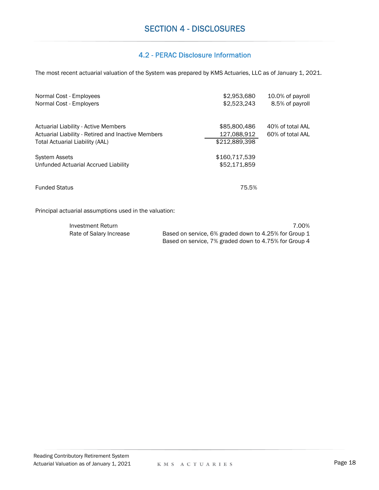# 4.2 - PERAC Disclosure Information

The most recent actuarial valuation of the System was prepared by KMS Actuaries, LLC as of January 1, 2021.

| Normal Cost - Employees<br>Normal Cost - Employers                                                                                   | \$2,953,680<br>\$2,523,243                   | 10.0% of payroll<br>8.5% of payroll  |
|--------------------------------------------------------------------------------------------------------------------------------------|----------------------------------------------|--------------------------------------|
| <b>Actuarial Liability - Active Members</b><br>Actuarial Liability - Retired and Inactive Members<br>Total Actuarial Liability (AAL) | \$85,800,486<br>127,088,912<br>\$212,889,398 | 40% of total AAL<br>60% of total AAL |
| <b>System Assets</b><br>Unfunded Actuarial Accrued Liability                                                                         | \$160,717,539<br>\$52,171,859                |                                      |
| <b>Funded Status</b>                                                                                                                 | 75.5%                                        |                                      |

Principal actuarial assumptions used in the valuation:

| Investment Return       | 7.00%                                                 |
|-------------------------|-------------------------------------------------------|
| Rate of Salary Increase | Based on service, 6% graded down to 4.25% for Group 1 |
|                         | Based on service, 7% graded down to 4.75% for Group 4 |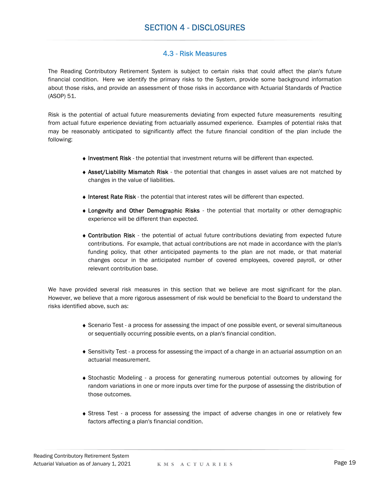The Reading Contributory Retirement System is subject to certain risks that could affect the plan's future financial condition. Here we identify the primary risks to the System, provide some background information about those risks, and provide an assessment of those risks in accordance with Actuarial Standards of Practice (ASOP) 51.

Risk is the potential of actual future measurements deviating from expected future measurements resulting from actual future experience deviating from actuarially assumed experience. Examples of potential risks that may be reasonably anticipated to significantly affect the future financial condition of the plan include the following:

- ♦ Investment Risk the potential that investment returns will be different than expected.
- ♦ Asset/Liability Mismatch Risk the potential that changes in asset values are not matched by changes in the value of liabilities.
- ♦ Interest Rate Risk the potential that interest rates will be different than expected.
- ♦ Longevity and Other Demographic Risks the potential that mortality or other demographic experience will be different than expected.
- ♦ Contribution Risk the potential of actual future contributions deviating from expected future contributions. For example, that actual contributions are not made in accordance with the plan's funding policy, that other anticipated payments to the plan are not made, or that material changes occur in the anticipated number of covered employees, covered payroll, or other relevant contribution base.

We have provided several risk measures in this section that we believe are most significant for the plan. However, we believe that a more rigorous assessment of risk would be beneficial to the Board to understand the risks identified above, such as:

- ♦ Scenario Test a process for assessing the impact of one possible event, or several simultaneous or sequentially occurring possible events, on a plan's financial condition.
- ♦ Sensitivity Test a process for assessing the impact of a change in an actuarial assumption on an actuarial measurement.
- ♦ Stochastic Modeling a process for generating numerous potential outcomes by allowing for random variations in one or more inputs over time for the purpose of assessing the distribution of those outcomes.
- ♦ Stress Test a process for assessing the impact of adverse changes in one or relatively few factors affecting a plan's financial condition.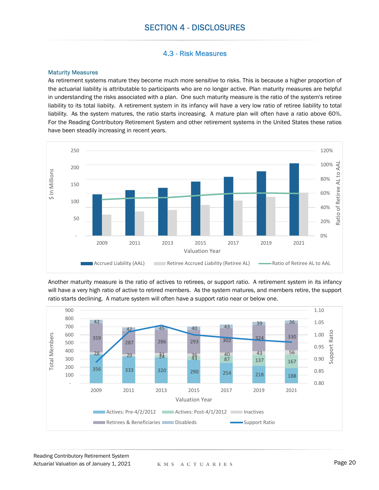#### Maturity Measures

As retirement systems mature they become much more sensitive to risks. This is because a higher proportion of the actuarial liability is attributable to participants who are no longer active. Plan maturity measures are helpful in understanding the risks associated with a plan. One such maturity measure is the ratio of the system's retiree liability to its total liabiity. A retirement system in its infancy will have a very low ratio of retiree liability to total liability. As the system matures, the ratio starts increasing. A mature plan will often have a ratio above 60%. For the Reading Contributory Retirement System and other retirement systems in the United States these ratios have been steadily increasing in recent years.



Another maturity measure is the ratio of actives to retirees, or support ratio. A retirement system in its infancy will have a very high ratio of active to retired members. As the system matures, and members retire, the support ratio starts declining. A mature system will often have a support ratio near or below one.

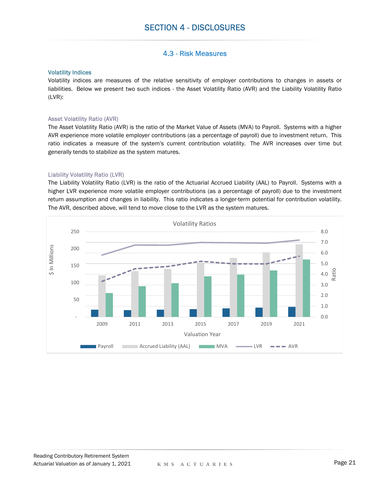#### Volatility Indices

Volatility indices are measures of the relative sensitivity of employer contributions to changes in assets or liabilities. Below we present two such indices - the Asset Volatility Ratio (AVR) and the Liability Volatility Ratio (LVR):

#### Asset Volatility Ratio (AVR)

The Asset Volatility Ratio (AVR) is the ratio of the Market Value of Assets (MVA) to Payroll. Systems with a higher AVR experience more volatile employer contributions (as a percentage of payroll) due to investment return. This ratio indicates a measure of the system's current contribution volatility. The AVR increases over time but generally tends to stabilize as the system matures.

#### Liability Volatility Ratio (LVR)

The Liability Volatility Ratio (LVR) is the ratio of the Actuarial Accrued Liability (AAL) to Payroll. Systems with a higher LVR experience more volatile employer contributions (as a percentage of payroll) due to the investment return assumption and changes in liability. This ratio indicates a longer-term potential for contribution volatility. The AVR, described above, will tend to move close to the LVR as the system matures.

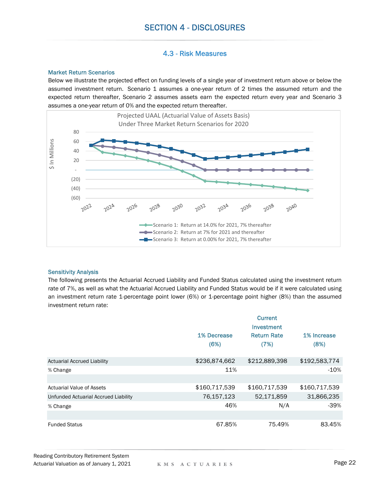#### Market Return Scenarios

Below we illustrate the projected effect on funding levels of a single year of investment return above or below the assumed investment return. Scenario 1 assumes a one-year return of 2 times the assumed return and the expected return thereafter, Scenario 2 assumes assets earn the expected return every year and Scenario 3 assumes a one-year return of 0% and the expected return thereafter.



#### Sensitivity Analysis

The following presents the Actuarial Accrued Liability and Funded Status calculated using the investment return rate of 7%, as well as what the Actuarial Accrued Liability and Funded Status would be if it were calculated using an investment return rate 1-percentage point lower (6%) or 1-percentage point higher (8%) than the assumed investment return rate:

|                                      |                     | <b>Current</b>             |                     |
|--------------------------------------|---------------------|----------------------------|---------------------|
|                                      |                     | Investment                 |                     |
|                                      | 1% Decrease<br>(6%) | <b>Return Rate</b><br>(7%) | 1% Increase<br>(8%) |
| <b>Actuarial Accrued Liability</b>   | \$236,874,662       | \$212,889,398              | \$192,583,774       |
| % Change                             | 11%                 |                            | $-10%$              |
|                                      |                     |                            |                     |
| Actuarial Value of Assets            | \$160,717,539       | \$160,717,539              | \$160,717,539       |
| Unfunded Actuarial Accrued Liability | 76,157,123          | 52,171,859                 | 31,866,235          |
| % Change                             | 46%                 | N/A                        | $-39%$              |
|                                      |                     |                            |                     |
| <b>Funded Status</b>                 | 67.85%              | 75.49%                     | 83.45%              |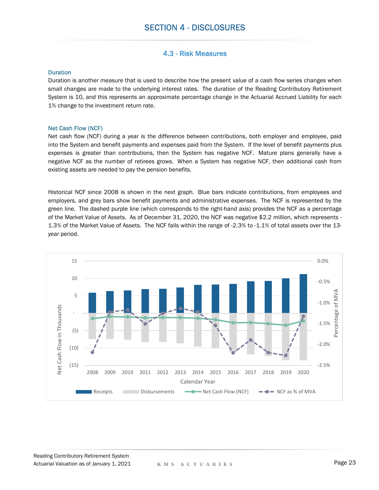#### **Duration**

Duration is another measure that is used to describe how the present value of a cash flow series changes when small changes are made to the underlying interest rates. The duration of the Reading Contributory Retirement System is 10, and this represents an approximate percentage change in the Actuarial Accrued Liability for each 1% change to the investment return rate.

#### Net Cash Flow (NCF)

Net cash flow (NCF) during a year is the difference between contributions, both employer and employee, paid into the System and benefit payments and expenses paid from the System. If the level of benefit payments plus expenses is greater than contributions, then the System has negative NCF. Mature plans generally have a negative NCF as the number of retirees grows. When a System has negative NCF, then additional cash from existing assets are needed to pay the pension benefits.

Historical NCF since 2008 is shown in the next graph. Blue bars indicate contributions, from employees and employers, and grey bars show benefit payments and administrative expenses. The NCF is represented by the green line. The dashed purple line (which corresponds to the right-hand axis) provides the NCF as a percentage of the Market Value of Assets. As of December 31, 2020, the NCF was negative \$2.2 million, which represents - 1.3% of the Market Value of Assets. The NCF falls within the range of -2.3% to -1.1% of total assets over the 13 year period.

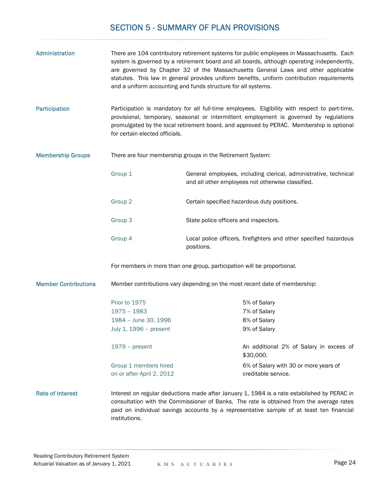| Administration              |                                                                                                                                                                                                                                                                                                                        | There are 104 contributory retirement systems for public employees in Massachusetts. Each<br>system is governed by a retirement board and all boards, although operating independently,<br>are governed by Chapter 32 of the Massachusetts General Laws and other applicable<br>statutes. This law in general provides uniform benefits, uniform contribution requirements<br>and a uniform accounting and funds structure for all systems. |  |
|-----------------------------|------------------------------------------------------------------------------------------------------------------------------------------------------------------------------------------------------------------------------------------------------------------------------------------------------------------------|---------------------------------------------------------------------------------------------------------------------------------------------------------------------------------------------------------------------------------------------------------------------------------------------------------------------------------------------------------------------------------------------------------------------------------------------|--|
| Participation               | Participation is mandatory for all full-time employees. Eligibility with respect to part-time,<br>provisional, temporary, seasonal or intermittent employment is governed by regulations<br>promulgated by the local retirement board, and approved by PERAC. Membership is optional<br>for certain elected officials. |                                                                                                                                                                                                                                                                                                                                                                                                                                             |  |
| <b>Membership Groups</b>    | There are four membership groups in the Retirement System:                                                                                                                                                                                                                                                             |                                                                                                                                                                                                                                                                                                                                                                                                                                             |  |
|                             | Group 1                                                                                                                                                                                                                                                                                                                | General employees, including clerical, administrative, technical<br>and all other employees not otherwise classified.                                                                                                                                                                                                                                                                                                                       |  |
|                             | Group 2                                                                                                                                                                                                                                                                                                                | Certain specified hazardous duty positions.                                                                                                                                                                                                                                                                                                                                                                                                 |  |
|                             | Group 3                                                                                                                                                                                                                                                                                                                | State police officers and inspectors.                                                                                                                                                                                                                                                                                                                                                                                                       |  |
|                             | Group 4                                                                                                                                                                                                                                                                                                                | Local police officers, firefighters and other specified hazardous<br>positions.                                                                                                                                                                                                                                                                                                                                                             |  |
|                             |                                                                                                                                                                                                                                                                                                                        | For members in more than one group, participation will be proportional.                                                                                                                                                                                                                                                                                                                                                                     |  |
| <b>Member Contributions</b> | Member contributions vary depending on the most recent date of membership:                                                                                                                                                                                                                                             |                                                                                                                                                                                                                                                                                                                                                                                                                                             |  |
|                             | Prior to 1975                                                                                                                                                                                                                                                                                                          | 5% of Salary                                                                                                                                                                                                                                                                                                                                                                                                                                |  |
|                             | $1975 - 1983$                                                                                                                                                                                                                                                                                                          | 7% of Salary                                                                                                                                                                                                                                                                                                                                                                                                                                |  |
|                             | 1984 - June 30, 1996                                                                                                                                                                                                                                                                                                   | 8% of Salary                                                                                                                                                                                                                                                                                                                                                                                                                                |  |
|                             | July 1, 1996 - present                                                                                                                                                                                                                                                                                                 | 9% of Salary                                                                                                                                                                                                                                                                                                                                                                                                                                |  |
|                             | $1979 - present$                                                                                                                                                                                                                                                                                                       | An additional 2% of Salary in excess of<br>\$30,000.                                                                                                                                                                                                                                                                                                                                                                                        |  |
|                             | Group 1 members hired<br>on or after April 2, 2012                                                                                                                                                                                                                                                                     | 6% of Salary with 30 or more years of<br>creditable service.                                                                                                                                                                                                                                                                                                                                                                                |  |
| <b>Rate of Interest</b>     | Interest on regular deductions made after January 1, 1984 is a rate established by PERAC in<br>consultation with the Commissioner of Banks. The rate is obtained from the average rates<br>paid on individual savings accounts by a representative sample of at least ten financial<br>institutions.                   |                                                                                                                                                                                                                                                                                                                                                                                                                                             |  |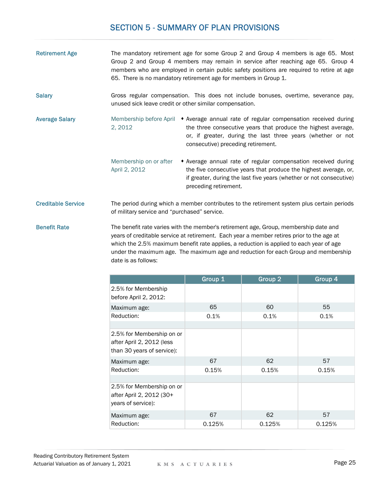| <b>Retirement Age</b>     |                                         | The mandatory retirement age for some Group 2 and Group 4 members is age 65. Most<br>Group 2 and Group 4 members may remain in service after reaching age 65. Group 4<br>members who are employed in certain public safety positions are required to retire at age<br>65. There is no mandatory retirement age for members in Group 1. |
|---------------------------|-----------------------------------------|----------------------------------------------------------------------------------------------------------------------------------------------------------------------------------------------------------------------------------------------------------------------------------------------------------------------------------------|
| <b>Salary</b>             |                                         | Gross regular compensation. This does not include bonuses, overtime, severance pay,<br>unused sick leave credit or other similar compensation.                                                                                                                                                                                         |
| <b>Average Salary</b>     | 2, 2012                                 | Membership before April • Average annual rate of regular compensation received during<br>the three consecutive years that produce the highest average,<br>or, if greater, during the last three years (whether or not<br>consecutive) preceding retirement.                                                                            |
|                           | Membership on or after<br>April 2, 2012 | • Average annual rate of regular compensation received during<br>the five consecutive years that produce the highest average, or,<br>if greater, during the last five years (whether or not consecutive)<br>preceding retirement.                                                                                                      |
| <b>Creditable Service</b> |                                         | The period during which a member contributes to the retirement system plus certain periods                                                                                                                                                                                                                                             |

Benefit Rate The benefit rate varies with the member's retirement age, Group, membership date and years of creditable service at retirement. Each year a member retires prior to the age at which the 2.5% maximum benefit rate applies, a reduction is applied to each year of age under the maximum age. The maximum age and reduction for each Group and membership date is as follows:

of military service and "purchased" service.

|                                                                                      | Group 1 | Group <sub>2</sub> | Group 4 |
|--------------------------------------------------------------------------------------|---------|--------------------|---------|
| 2.5% for Membership<br>before April 2, 2012:                                         |         |                    |         |
| Maximum age:                                                                         | 65      | 60                 | 55      |
| Reduction:                                                                           | 0.1%    | 0.1%               | 0.1%    |
|                                                                                      |         |                    |         |
| 2.5% for Membership on or<br>after April 2, 2012 (less<br>than 30 years of service): |         |                    |         |
| Maximum age:                                                                         | 67      | 62                 | 57      |
| Reduction:                                                                           | 0.15%   | 0.15%              | 0.15%   |
|                                                                                      |         |                    |         |
| 2.5% for Membership on or<br>after April 2, 2012 (30+<br>years of service):          |         |                    |         |
| Maximum age:                                                                         | 67      | 62                 | 57      |
| Reduction:                                                                           | 0.125%  | 0.125%             | 0.125%  |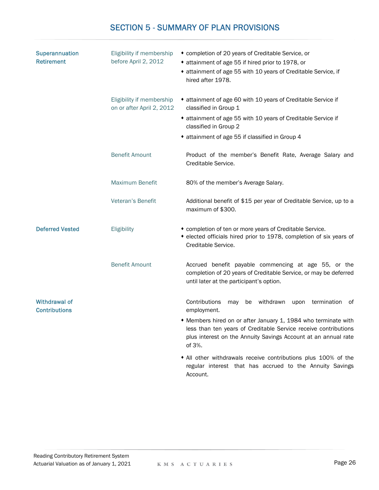| Superannuation<br><b>Retirement</b>   | Eligibility if membership<br>before April 2, 2012      | • completion of 20 years of Creditable Service, or<br>• attainment of age 55 if hired prior to 1978, or<br>• attainment of age 55 with 10 years of Creditable Service, if<br>hired after 1978.                |
|---------------------------------------|--------------------------------------------------------|---------------------------------------------------------------------------------------------------------------------------------------------------------------------------------------------------------------|
|                                       | Eligibility if membership<br>on or after April 2, 2012 | • attainment of age 60 with 10 years of Creditable Service if<br>classified in Group 1                                                                                                                        |
|                                       |                                                        | • attainment of age 55 with 10 years of Creditable Service if<br>classified in Group 2                                                                                                                        |
|                                       |                                                        | * attainment of age 55 if classified in Group 4                                                                                                                                                               |
|                                       | <b>Benefit Amount</b>                                  | Product of the member's Benefit Rate, Average Salary and<br>Creditable Service.                                                                                                                               |
|                                       | <b>Maximum Benefit</b>                                 | 80% of the member's Average Salary.                                                                                                                                                                           |
|                                       | Veteran's Benefit                                      | Additional benefit of \$15 per year of Creditable Service, up to a<br>maximum of \$300.                                                                                                                       |
| <b>Deferred Vested</b>                | Eligibility                                            | * completion of ten or more years of Creditable Service.<br>• elected officials hired prior to 1978, completion of six years of<br>Creditable Service.                                                        |
|                                       | <b>Benefit Amount</b>                                  | Accrued benefit payable commencing at age 55, or the<br>completion of 20 years of Creditable Service, or may be deferred<br>until later at the participant's option.                                          |
| Withdrawal of<br><b>Contributions</b> |                                                        | Contributions<br>withdrawn<br>upon termination<br>may<br>be<br>of<br>employment.                                                                                                                              |
|                                       |                                                        | • Members hired on or after January 1, 1984 who terminate with<br>less than ten years of Creditable Service receive contributions<br>plus interest on the Annuity Savings Account at an annual rate<br>of 3%. |
|                                       |                                                        | • All other withdrawals receive contributions plus 100% of the<br>regular interest that has accrued to the Annuity Savings                                                                                    |

Account.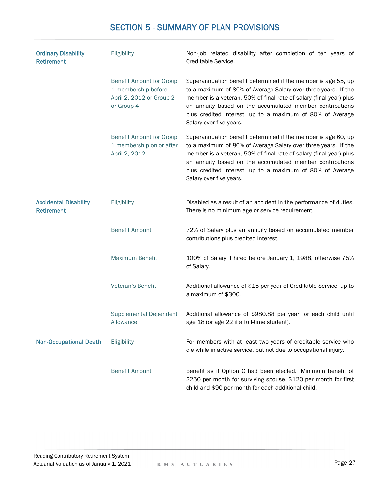| <b>Ordinary Disability</b><br><b>Retirement</b>   | Eligibility                                                                                      | Non-job related disability after completion of ten years of<br>Creditable Service.                                                                                                                                                                                                                                                                        |
|---------------------------------------------------|--------------------------------------------------------------------------------------------------|-----------------------------------------------------------------------------------------------------------------------------------------------------------------------------------------------------------------------------------------------------------------------------------------------------------------------------------------------------------|
|                                                   | <b>Benefit Amount for Group</b><br>1 membership before<br>April 2, 2012 or Group 2<br>or Group 4 | Superannuation benefit determined if the member is age 55, up<br>to a maximum of 80% of Average Salary over three years. If the<br>member is a veteran, 50% of final rate of salary (final year) plus<br>an annuity based on the accumulated member contributions<br>plus credited interest, up to a maximum of 80% of Average<br>Salary over five years. |
|                                                   | <b>Benefit Amount for Group</b><br>1 membership on or after<br>April 2, 2012                     | Superannuation benefit determined if the member is age 60, up<br>to a maximum of 80% of Average Salary over three years. If the<br>member is a veteran, 50% of final rate of salary (final year) plus<br>an annuity based on the accumulated member contributions<br>plus credited interest, up to a maximum of 80% of Average<br>Salary over five years. |
| <b>Accidental Disability</b><br><b>Retirement</b> | Eligibility                                                                                      | Disabled as a result of an accident in the performance of duties.<br>There is no minimum age or service requirement.                                                                                                                                                                                                                                      |
|                                                   | <b>Benefit Amount</b>                                                                            | 72% of Salary plus an annuity based on accumulated member<br>contributions plus credited interest.                                                                                                                                                                                                                                                        |
|                                                   | Maximum Benefit                                                                                  | 100% of Salary if hired before January 1, 1988, otherwise 75%<br>of Salary.                                                                                                                                                                                                                                                                               |
|                                                   | Veteran's Benefit                                                                                | Additional allowance of \$15 per year of Creditable Service, up to<br>a maximum of \$300.                                                                                                                                                                                                                                                                 |
|                                                   | <b>Supplemental Dependent</b><br>Allowance                                                       | Additional allowance of \$980.88 per year for each child until<br>age 18 (or age 22 if a full-time student).                                                                                                                                                                                                                                              |
| <b>Non-Occupational Death</b>                     | Eligibility                                                                                      | For members with at least two years of creditable service who<br>die while in active service, but not due to occupational injury.                                                                                                                                                                                                                         |
|                                                   | <b>Benefit Amount</b>                                                                            | Benefit as if Option C had been elected. Minimum benefit of<br>\$250 per month for surviving spouse, \$120 per month for first<br>child and \$90 per month for each additional child.                                                                                                                                                                     |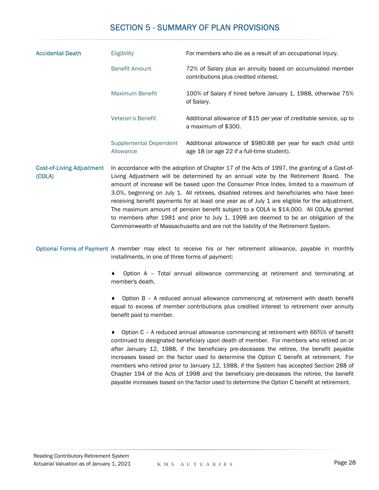| <b>Accidental Death</b>                    | <b>Eligibility</b>                  | For members who die as a result of an occupational injury.                                                                                                                                                                                                                      |  |  |  |  |
|--------------------------------------------|-------------------------------------|---------------------------------------------------------------------------------------------------------------------------------------------------------------------------------------------------------------------------------------------------------------------------------|--|--|--|--|
|                                            | Benefit Amount                      | 72% of Salary plus an annuity based on accumulated member<br>contributions plus credited interest.                                                                                                                                                                              |  |  |  |  |
|                                            | Maximum Benefit                     | 100% of Salary if hired before January 1, 1988, otherwise 75%<br>of Salary.                                                                                                                                                                                                     |  |  |  |  |
|                                            | Veteran's Benefit                   | Additional allowance of \$15 per year of creditable service, up to<br>a maximum of \$300.                                                                                                                                                                                       |  |  |  |  |
|                                            | Supplemental Dependent<br>Allowance | Additional allowance of \$980.88 per year for each child until<br>age 18 (or age 22 if a full-time student).                                                                                                                                                                    |  |  |  |  |
| <b>Cost-of-Living Adjustment</b><br>(COLA) |                                     | In accordance with the adoption of Chapter 17 of the Acts of 1997, the granting of a Cost-of-<br>Living Adjustment will be determined by an annual vote by the Retirement Board. The<br>amount of increase will be based upon the Consumer Price Index, limited to a maximum of |  |  |  |  |

3.0%, beginning on July 1. All retirees, disabled retirees and beneficiaries who have been receiving benefit payments for at least one year as of July 1 are eligible for the adjustment. The maximum amount of pension benefit subject to a COLA is \$14,000. All COLAs granted to members after 1981 and prior to July 1, 1998 are deemed to be an obligation of the Commonwealth of Massachusetts and are not the liability of the Retirement System.

Optional Forms of Payment A member may elect to receive his or her retirement allowance, payable in monthly installments, in one of three forms of payment:

> Option  $A$  – Total annual allowance commencing at retirement and terminating at member's death.

> ♦ Option B – A reduced annual allowance commencing at retirement with death benefit equal to excess of member contributions plus credited interest to retirement over annuity benefit paid to member.

> ♦ Option C – A reduced annual allowance commencing at retirement with 66⅔% of benefit continued to designated beneficiary upon death of member. For members who retired on or after January 12, 1988, if the beneficiary pre-deceases the retiree, the benefit payable increases based on the factor used to determine the Option C benefit at retirement. For members who retired prior to January 12, 1988, if the System has accepted Section 288 of Chapter 194 of the Acts of 1998 and the beneficiary pre-deceases the retiree, the benefit payable increases based on the factor used to determine the Option C benefit at retirement.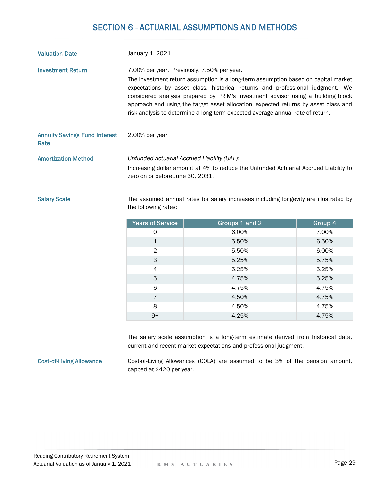| <b>Valuation Date</b>                        | January 1, 2021                                                                                                                                                                                                                                                                                                                                                                                                                                                                 |                |         |  |  |  |  |  |
|----------------------------------------------|---------------------------------------------------------------------------------------------------------------------------------------------------------------------------------------------------------------------------------------------------------------------------------------------------------------------------------------------------------------------------------------------------------------------------------------------------------------------------------|----------------|---------|--|--|--|--|--|
| <b>Investment Return</b>                     | 7.00% per year. Previously, 7.50% per year.<br>The investment return assumption is a long-term assumption based on capital market<br>expectations by asset class, historical returns and professional judgment. We<br>considered analysis prepared by PRIM's investment advisor using a building block<br>approach and using the target asset allocation, expected returns by asset class and<br>risk analysis to determine a long-term expected average annual rate of return. |                |         |  |  |  |  |  |
| <b>Annuity Savings Fund Interest</b><br>Rate | 2.00% per year                                                                                                                                                                                                                                                                                                                                                                                                                                                                  |                |         |  |  |  |  |  |
| <b>Amortization Method</b>                   | Unfunded Actuarial Accrued Liability (UAL):<br>Increasing dollar amount at 4% to reduce the Unfunded Actuarial Accrued Liability to<br>zero on or before June 30, 2031.                                                                                                                                                                                                                                                                                                         |                |         |  |  |  |  |  |
| <b>Salary Scale</b>                          | The assumed annual rates for salary increases including longevity are illustrated by<br>the following rates:                                                                                                                                                                                                                                                                                                                                                                    |                |         |  |  |  |  |  |
|                                              | <b>Years of Service</b>                                                                                                                                                                                                                                                                                                                                                                                                                                                         | Groups 1 and 2 | Group 4 |  |  |  |  |  |
|                                              | 0                                                                                                                                                                                                                                                                                                                                                                                                                                                                               | 6.00%          | 7.00%   |  |  |  |  |  |

| $\mathbf 1$    | 5.50% | 6.50% |
|----------------|-------|-------|
| $\overline{2}$ | 5.50% | 6.00% |
| 3              | 5.25% | 5.75% |
| 4              | 5.25% | 5.25% |
| 5              | 4.75% | 5.25% |
| 6              | 4.75% | 4.75% |
| 7              | 4.50% | 4.75% |
| 8              | 4.50% | 4.75% |
| $9+$           | 4.25% | 4.75% |
|                |       |       |

The salary scale assumption is a long-term estimate derived from historical data, current and recent market expectations and professional judgment.

#### Cost-of-Living Allowance

Cost-of-Living Allowances (COLA) are assumed to be 3% of the pension amount, capped at \$420 per year.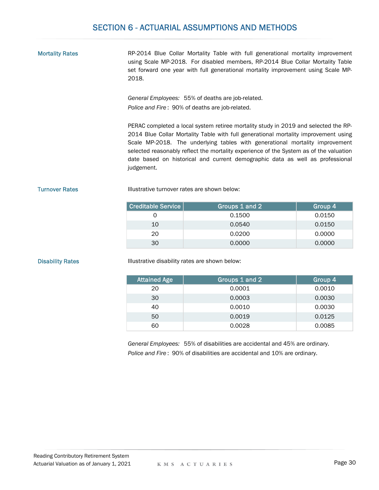#### Mortality Rates RP-2014 Blue Collar Mortality Table with full generational mortality improvement using Scale MP-2018. For disabled members, RP-2014 Blue Collar Mortality Table set forward one year with full generational mortality improvement using Scale MP-2018.

*General Employees:* 55% of deaths are job-related. *Police and Fire* : 90% of deaths are job-related.

PERAC completed a local system retiree mortality study in 2019 and selected the RP-2014 Blue Collar Mortality Table with full generational mortality improvement using Scale MP-2018. The underlying tables with generational mortality improvement selected reasonably reflect the mortality experience of the System as of the valuation date based on historical and current demographic data as well as professional judgement.

#### Turnover Rates Illustrative turnover rates are shown below:

| Creditable Service | Groups 1 and 2 | Group 4 |
|--------------------|----------------|---------|
|                    | 0.1500         | 0.0150  |
| 10                 | 0.0540         | 0.0150  |
| 20                 | 0.0200         | 0.0000  |
| 30                 | 0.0000         | 0.0000  |

#### Disability Rates

Illustrative disability rates are shown below:

| <b>Attained Age</b> | Groups 1 and 2 | Group 4 |
|---------------------|----------------|---------|
| 20                  | 0.0001         | 0.0010  |
| 30                  | 0.0003         | 0.0030  |
| 40                  | 0.0010         | 0.0030  |
| 50                  | 0.0019         | 0.0125  |
| 60                  | 0.0028         | 0.0085  |

*General Employees:* 55% of disabilities are accidental and 45% are ordinary. *Police and Fire* : 90% of disabilities are accidental and 10% are ordinary.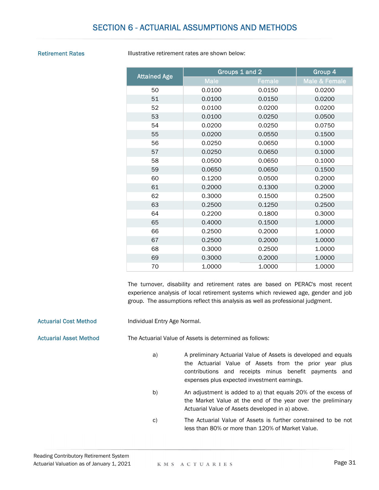#### Retirement Rates

Illustrative retirement rates are shown below:

| <b>Attained Age</b> |             | Groups 1 and 2 | Group 4       |
|---------------------|-------------|----------------|---------------|
|                     | <b>Male</b> | Female         | Male & Female |
| 50                  | 0.0100      | 0.0150         | 0.0200        |
| 51                  | 0.0100      | 0.0150         | 0.0200        |
| 52                  | 0.0100      | 0.0200         | 0.0200        |
| 53                  | 0.0100      | 0.0250         | 0.0500        |
| 54                  | 0.0200      | 0.0250         | 0.0750        |
| 55                  | 0.0200      | 0.0550         | 0.1500        |
| 56                  | 0.0250      | 0.0650         | 0.1000        |
| 57                  | 0.0250      | 0.0650         | 0.1000        |
| 58                  | 0.0500      | 0.0650         | 0.1000        |
| 59                  | 0.0650      | 0.0650         | 0.1500        |
| 60                  | 0.1200      | 0.0500         | 0.2000        |
| 61                  | 0.2000      | 0.1300         | 0.2000        |
| 62                  | 0.3000      | 0.1500         | 0.2500        |
| 63                  | 0.2500      | 0.1250         | 0.2500        |
| 64                  | 0.2200      | 0.1800         | 0.3000        |
| 65                  | 0.4000      | 0.1500         | 1.0000        |
| 66                  | 0.2500      | 0.2000         | 1.0000        |
| 67                  | 0.2500      | 0.2000         | 1.0000        |
| 68                  | 0.3000      | 0.2500         | 1.0000        |
| 69                  | 0.3000      | 0.2000         | 1.0000        |
| 70                  | 1.0000      | 1.0000         | 1.0000        |

The turnover, disability and retirement rates are based on PERAC's most recent experience analysis of local retirement systems which reviewed age, gender and job group. The assumptions reflect this analysis as well as professional judgment.

Actuarial Cost Method Individual Entry Age Normal.

Actuarial Asset Method The Actuarial Value of Assets is determined as follows:

- a) A preliminary Actuarial Value of Assets is developed and equals the Actuarial Value of Assets from the prior year plus contributions and receipts minus benefit payments and expenses plus expected investment earnings.
- b) An adjustment is added to a) that equals 20% of the excess of the Market Value at the end of the year over the preliminary Actuarial Value of Assets developed in a) above.
- c) The Actuarial Value of Assets is further constrained to be not less than 80% or more than 120% of Market Value.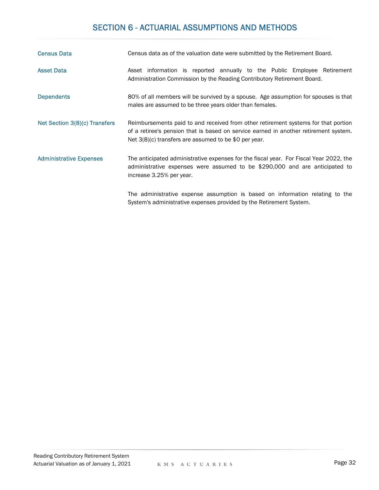| <b>Census Data</b>             | Census data as of the valuation date were submitted by the Retirement Board.                                                                                                                                                        |  |  |  |  |  |  |  |  |
|--------------------------------|-------------------------------------------------------------------------------------------------------------------------------------------------------------------------------------------------------------------------------------|--|--|--|--|--|--|--|--|
| <b>Asset Data</b>              | Asset information is reported annually to the Public Employee Retirement<br>Administration Commission by the Reading Contributory Retirement Board.                                                                                 |  |  |  |  |  |  |  |  |
| <b>Dependents</b>              | 80% of all members will be survived by a spouse. Age assumption for spouses is that<br>males are assumed to be three years older than females.                                                                                      |  |  |  |  |  |  |  |  |
| Net Section 3(8)(c) Transfers  | Reimbursements paid to and received from other retirement systems for that portion<br>of a retiree's pension that is based on service earned in another retirement system.<br>Net 3(8)(c) transfers are assumed to be \$0 per year. |  |  |  |  |  |  |  |  |
| <b>Administrative Expenses</b> | The anticipated administrative expenses for the fiscal year. For Fiscal Year 2022, the<br>administrative expenses were assumed to be \$290,000 and are anticipated to<br>increase 3.25% per year.                                   |  |  |  |  |  |  |  |  |
|                                | The administrative expense assumption is based on information relating to the<br>System's administrative expenses provided by the Retirement System.                                                                                |  |  |  |  |  |  |  |  |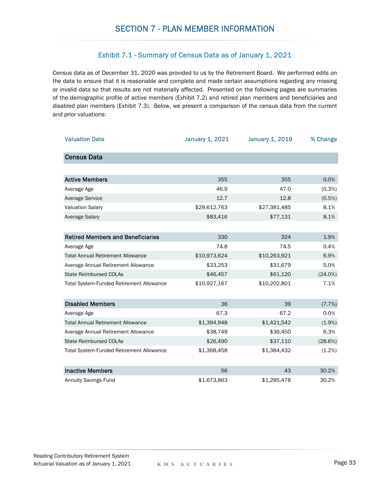### Exhibit 7.1 - Summary of Census Data as of January 1, 2021

Census data as of December 31, 2020 was provided to us by the Retirement Board. We performed edits on the data to ensure that it is reasonable and complete and made certain assumptions regarding any missing or invalid data so that results are not materially affected. Presented on the following pages are summaries of the demographic profile of active members (Exhibit 7.2) and retired plan members and beneficiaries and disabled plan members (Exhibit 7.3). Below, we present a comparison of the census data from the current and prior valuations:

| <b>Valuation Date</b>                           | <b>January 1, 2021</b> | <b>January 1, 2019</b> | % Change   |
|-------------------------------------------------|------------------------|------------------------|------------|
| <b>Census Data</b>                              |                        |                        |            |
|                                                 |                        |                        |            |
| <b>Active Members</b>                           | 355                    | 355                    | 0.0%       |
| Average Age                                     | 46.9                   | 47.0                   | (0.3%)     |
| <b>Average Service</b>                          | 12.7                   | 12.8                   | $(0.5\%)$  |
| <b>Valuation Salary</b>                         | \$29,612,763           | \$27,381,485           | 8.1%       |
| Average Salary                                  | \$83,416               | \$77,131               | 8.1%       |
|                                                 |                        |                        |            |
| <b>Retired Members and Beneficiaries</b>        | 330                    | 324                    | 1.9%       |
| Average Age                                     | 74.8                   | 74.5                   | 0.4%       |
| <b>Total Annual Retirement Allowance</b>        | \$10,973,624           | \$10,263,921           | 6.9%       |
| Average Annual Retirement Allowance             | \$33,253               | \$31,679               | 5.0%       |
| <b>State Reimbursed COLAs</b>                   | \$46,457               | \$61,120               | $(24.0\%)$ |
| <b>Total System-Funded Retirement Allowance</b> | \$10,927,167           | \$10,202,801           | 7.1%       |
|                                                 |                        |                        |            |
| <b>Disabled Members</b>                         | 36                     | 39                     | (7.7%)     |
| Average Age                                     | 67.3                   | 67.2                   | 0.0%       |
| <b>Total Annual Retirement Allowance</b>        | \$1,394,948            | \$1,421,542            | $(1.9\%)$  |
| Average Annual Retirement Allowance             | \$38,749               | \$36,450               | 6.3%       |
| <b>State Reimbursed COLAs</b>                   | \$26,490               | \$37,110               | (28.6%)    |
| <b>Total System-Funded Retirement Allowance</b> | \$1,368,458            | \$1,384,432            | $(1.2\%)$  |
| <b>Inactive Members</b>                         | 56                     | 43                     | 30.2%      |
| <b>Annuity Savings Fund</b>                     | \$1,673,863            | \$1,285,478            | 30.2%      |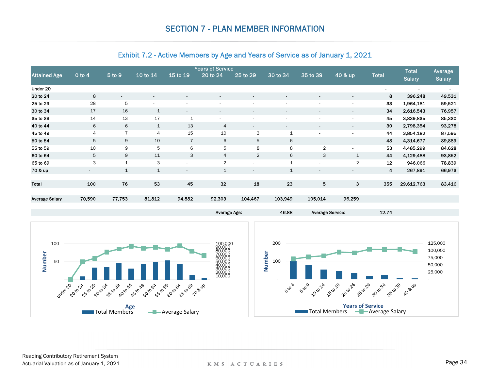# SECTION 7 - PLAN MEMBER INFORMATION

| <b>Years of Service</b> |          |                          |              |                          |                          |                   |              |                          | <b>Total</b>             |                          |                |                          |
|-------------------------|----------|--------------------------|--------------|--------------------------|--------------------------|-------------------|--------------|--------------------------|--------------------------|--------------------------|----------------|--------------------------|
| <b>Attained Age</b>     | $0$ to 4 | 5 to 9                   | 10 to 14     | 15 to 19                 | $20$ to 24               | 25 to 29          | 30 to 34     | 35 to 39                 | 40 & up                  | <b>Total</b>             | <b>Salary</b>  | Average<br><b>Salary</b> |
| Under 20                |          |                          |              |                          |                          |                   |              |                          |                          | $\overline{\phantom{a}}$ | $\blacksquare$ |                          |
| 20 to 24                | 8        | $\overline{\phantom{a}}$ |              |                          |                          |                   |              |                          | $\overline{\phantom{a}}$ | 8                        | 396,248        | 49,531                   |
| 25 to 29                | 28       | 5                        | ٠            | ٠                        | $\overline{\phantom{a}}$ |                   |              |                          | $\sim$                   | 33                       | 1,964,181      | 59,521                   |
| 30 to 34                | 17       | 16                       | $\mathbf{1}$ | $\overline{\phantom{a}}$ | $\overline{\phantom{a}}$ | $\qquad \qquad -$ |              | $\overline{\phantom{a}}$ | $\overline{\phantom{a}}$ | 34                       | 2,616,543      | 76,957                   |
| 35 to 39                | 14       | 13                       | 17           | $\mathbf{1}$             |                          |                   |              |                          | $\overline{\phantom{a}}$ | 45                       | 3,839,835      | 85,330                   |
| 40 to 44                | 6        | 6                        | $\mathbf{1}$ | 13                       | 4                        | $\overline{a}$    | . .          | $\overline{\phantom{a}}$ | $\overline{\phantom{a}}$ | 30                       | 2,798,354      | 93,278                   |
| 45 to 49                | 4        | $\overline{7}$           | 4            | 15                       | 10                       | 3                 | $\mathbf{1}$ | $\overline{\phantom{a}}$ | $\overline{\phantom{a}}$ | 44                       | 3,854,182      | 87,595                   |
| 50 to 54                | 5        | 9                        | 10           | $\overline{7}$           | 6                        | 5                 | 6            | $\overline{\phantom{a}}$ | $\overline{\phantom{a}}$ | 48                       | 4,314,677      | 89,889                   |
| 55 to 59                | 10       | 9                        | 5            | 6                        | 5                        | 8                 | 8            | $\overline{2}$           | $\sim$                   | 53                       | 4,485,299      | 84,628                   |
| 60 to 64                | 5        | 9                        | 11           | 3                        | $\overline{4}$           | $\overline{2}$    | 6            | $\mathbf{3}$             | $\mathbf{1}$             | 44                       | 4,129,488      | 93,852                   |
| 65 to 69                | 3        | $\mathbf{1}$             | 3            | ٠                        | $\overline{2}$           |                   | $\mathbf{1}$ | $\overline{\phantom{a}}$ | 2                        | 12                       | 946,066        | 78,839                   |
| 70 & up                 |          | $\mathbf{1}$             | $\mathbf{1}$ |                          | $\mathbf{1}$             |                   | $\mathbf{1}$ | $\overline{\phantom{a}}$ | ۰                        | 4                        | 267,891        | 66,973                   |
|                         |          |                          |              |                          |                          |                   |              |                          |                          |                          |                |                          |
| <b>Total</b>            | 100      | 76                       | 53           | 45                       | 32                       | 18                | 23           | 5                        | 3                        | 355                      | 29,612,763     | 83,416                   |
|                         |          |                          |              |                          |                          |                   |              |                          |                          |                          |                |                          |
| <b>Average Salary</b>   | 70,590   | 77,753                   | 81,812       | 94,882                   | 92,303                   | 104,467           | 103,949      | 105,014                  | 96,259                   |                          |                |                          |

# Exhibit 7.2 - Active Members by Age and Years of Service as of January 1, 2021



 - 25,000 50,000 75,000 100,000 125,000

AD ELVA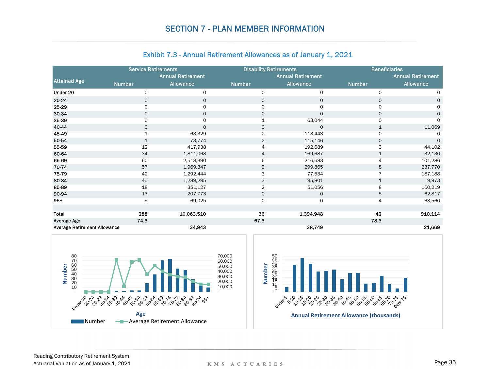# SECTION 7 - PLAN MEMBER INFORMATION

|                                     | <b>Service Retirements</b> |                          |                     | <b>Disability Retirements</b> |                          | <b>Beneficiaries</b> |  |  |
|-------------------------------------|----------------------------|--------------------------|---------------------|-------------------------------|--------------------------|----------------------|--|--|
|                                     |                            | <b>Annual Retirement</b> |                     | <b>Annual Retirement</b>      | <b>Annual Retirement</b> |                      |  |  |
| <b>Attained Age</b>                 | <b>Number</b>              | <b>Allowance</b>         | <b>Number</b>       | Allowance                     | <b>Number</b>            | <b>Allowance</b>     |  |  |
| Under 20                            | 0                          | $\mathbf 0$              | 0                   | 0                             | $\circ$                  | 0                    |  |  |
| 20-24                               | 0                          | $\mathbf 0$              | $\mathsf{O}$        | $\mathbf 0$                   | $\circ$                  | $\mathsf{O}$         |  |  |
| 25-29                               | 0                          | 0                        | 0                   | 0                             | 0                        | 0                    |  |  |
| 30-34                               | 0                          | $\circ$                  | 0                   | $\circ$                       | $\circ$                  | $\mathbf 0$          |  |  |
| 35-39                               | 0                          | 0                        | 1                   | 63,044                        | 0                        | $\Omega$             |  |  |
| 40-44                               | 0                          | $\mathbf 0$              | 0                   | O                             | $\mathbf 1$              | 11,069               |  |  |
| 45-49                               |                            | 63,329                   | 2                   | 113,443                       | 0                        |                      |  |  |
| 50-54                               |                            | 73,774                   | $\overline{a}$      | 115,146                       | $\circ$                  | $\Omega$             |  |  |
| 55-59                               | 12                         | 417,938                  | 4                   | 192,689                       | 3                        | 44,102               |  |  |
| 60-64                               | 34                         | 1,811,068                | 4                   | 169,687                       | $\mathbf 1$              | 32,130               |  |  |
| 65-69                               | 60                         | 2,518,390                | 6                   | 216,683                       | 4                        | 101,286              |  |  |
| 70-74                               | 57                         | 1,969,347                | $\mathsf 9$         | 299,865                       | 8                        | 237,770              |  |  |
| 75-79                               | 42                         | 1,292,444                | 3                   | 77,534                        |                          | 187,188              |  |  |
| 80-84                               | 45                         | 1,289,295                | 3                   | 95,801                        | $\mathbf 1$              | 9,973                |  |  |
| 85-89                               | 18                         | 351,127                  | 2                   | 51,056                        | 8                        | 160,219              |  |  |
| 90-94                               | 13                         | 207,773                  | $\mathsf{O}\xspace$ | $\circ$                       | 5                        | 62,817               |  |  |
| $95+$                               | 5                          | 69,025                   | $\mathsf{O}\xspace$ | 0                             | $\overline{4}$           | 63,560               |  |  |
|                                     |                            |                          |                     |                               |                          |                      |  |  |
| <b>Total</b>                        | 288                        | 10,063,510               | 36                  | 1,394,948                     | 42                       | 910,114              |  |  |
| Average Age                         | 74.3                       |                          | 67.3                |                               | 78.3                     |                      |  |  |
| <b>Average Retirement Allowance</b> |                            | 34,943                   |                     | 38,749                        |                          | 21,669               |  |  |

|  | Exhibit 7.3 - Annual Retirement Allowances as of January 1, 2021 |  |  |  |
|--|------------------------------------------------------------------|--|--|--|
|--|------------------------------------------------------------------|--|--|--|



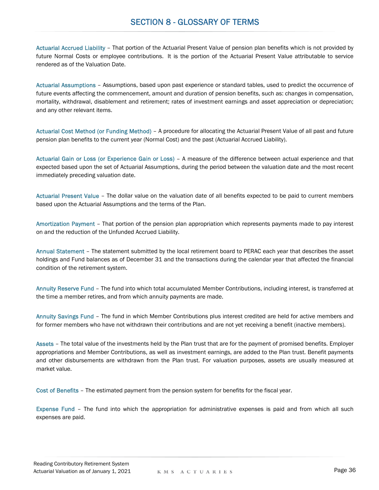Actuarial Accrued Liability – That portion of the Actuarial Present Value of pension plan benefits which is not provided by future Normal Costs or employee contributions. It is the portion of the Actuarial Present Value attributable to service rendered as of the Valuation Date.

Actuarial Assumptions – Assumptions, based upon past experience or standard tables, used to predict the occurrence of future events affecting the commencement, amount and duration of pension benefits, such as: changes in compensation, mortality, withdrawal, disablement and retirement; rates of investment earnings and asset appreciation or depreciation; and any other relevant items.

Actuarial Cost Method (or Funding Method) – A procedure for allocating the Actuarial Present Value of all past and future pension plan benefits to the current year (Normal Cost) and the past (Actuarial Accrued Liability).

Actuarial Gain or Loss (or Experience Gain or Loss) – A measure of the difference between actual experience and that expected based upon the set of Actuarial Assumptions, during the period between the valuation date and the most recent immediately preceding valuation date.

Actuarial Present Value – The dollar value on the valuation date of all benefits expected to be paid to current members based upon the Actuarial Assumptions and the terms of the Plan.

Amortization Payment – That portion of the pension plan appropriation which represents payments made to pay interest on and the reduction of the Unfunded Accrued Liability.

Annual Statement – The statement submitted by the local retirement board to PERAC each year that describes the asset holdings and Fund balances as of December 31 and the transactions during the calendar year that affected the financial condition of the retirement system.

Annuity Reserve Fund – The fund into which total accumulated Member Contributions, including interest, is transferred at the time a member retires, and from which annuity payments are made.

Annuity Savings Fund – The fund in which Member Contributions plus interest credited are held for active members and for former members who have not withdrawn their contributions and are not yet receiving a benefit (inactive members).

Assets – The total value of the investments held by the Plan trust that are for the payment of promised benefits. Employer appropriations and Member Contributions, as well as investment earnings, are added to the Plan trust. Benefit payments and other disbursements are withdrawn from the Plan trust. For valuation purposes, assets are usually measured at market value.

Cost of Benefits – The estimated payment from the pension system for benefits for the fiscal year.

Expense Fund – The fund into which the appropriation for administrative expenses is paid and from which all such expenses are paid.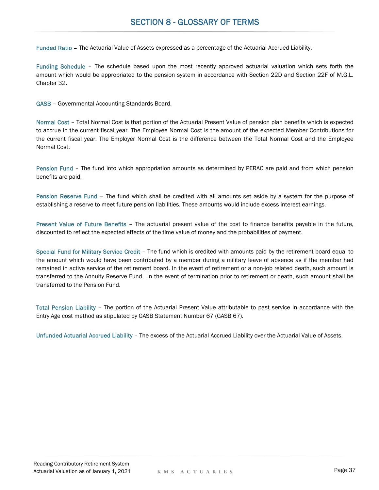# SECTION 8 - GLOSSARY OF TERMS

Funded Ratio – The Actuarial Value of Assets expressed as a percentage of the Actuarial Accrued Liability.

Funding Schedule – The schedule based upon the most recently approved actuarial valuation which sets forth the amount which would be appropriated to the pension system in accordance with Section 22D and Section 22F of M.G.L. Chapter 32.

GASB – Governmental Accounting Standards Board.

Normal Cost – Total Normal Cost is that portion of the Actuarial Present Value of pension plan benefits which is expected to accrue in the current fiscal year. The Employee Normal Cost is the amount of the expected Member Contributions for the current fiscal year. The Employer Normal Cost is the difference between the Total Normal Cost and the Employee Normal Cost.

Pension Fund – The fund into which appropriation amounts as determined by PERAC are paid and from which pension benefits are paid.

Pension Reserve Fund – The fund which shall be credited with all amounts set aside by a system for the purpose of establishing a reserve to meet future pension liabilities. These amounts would include excess interest earnings.

Present Value of Future Benefits – The actuarial present value of the cost to finance benefits payable in the future, discounted to reflect the expected effects of the time value of money and the probabilities of payment.

Special Fund for Military Service Credit – The fund which is credited with amounts paid by the retirement board equal to the amount which would have been contributed by a member during a military leave of absence as if the member had remained in active service of the retirement board. In the event of retirement or a non-job related death, such amount is transferred to the Annuity Reserve Fund. In the event of termination prior to retirement or death, such amount shall be transferred to the Pension Fund.

Total Pension Liability – The portion of the Actuarial Present Value attributable to past service in accordance with the Entry Age cost method as stipulated by GASB Statement Number 67 (GASB 67).

Unfunded Actuarial Accrued Liability – The excess of the Actuarial Accrued Liability over the Actuarial Value of Assets.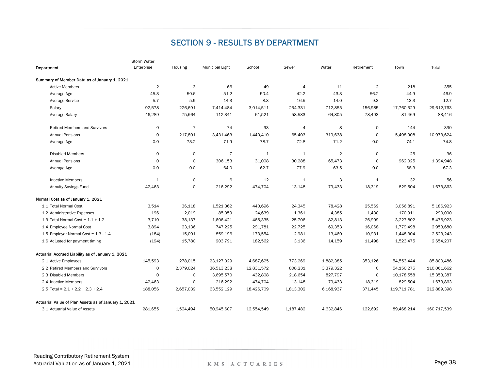# SECTION 9 - RESULTS BY DEPARTMENT

|                                                      | Storm Water    |                |                        |            |                |                |                |             |             |
|------------------------------------------------------|----------------|----------------|------------------------|------------|----------------|----------------|----------------|-------------|-------------|
| Department                                           | Enterprise     | Housing        | <b>Municipal Light</b> | School     | Sewer          | Water          | Retirement     | Town        | Total       |
| Summary of Member Data as of January 1, 2021         |                |                |                        |            |                |                |                |             |             |
| <b>Active Members</b>                                | $\overline{2}$ | 3              | 66                     | 49         | $\overline{4}$ | 11             | $\overline{2}$ | 218         | 355         |
| Average Age                                          | 45.3           | 50.6           | 51.2                   | 50.4       | 42.2           | 43.3           | 56.2           | 44.9        | 46.9        |
| <b>Average Service</b>                               | 5.7            | 5.9            | 14.3                   | 8.3        | 16.5           | 14.0           | 9.3            | 13.3        | 12.7        |
| Salary                                               | 92,578         | 226,691        | 7,414,484              | 3,014,511  | 234,331        | 712,855        | 156,985        | 17,760,329  | 29,612,763  |
| Average Salary                                       | 46,289         | 75,564         | 112,341                | 61,521     | 58,583         | 64,805         | 78,493         | 81,469      | 83,416      |
| Retired Members and Survivors                        | 0              | $\overline{7}$ | 74                     | 93         | $\overline{4}$ | 8              | 0              | 144         | 330         |
| <b>Annual Pensions</b>                               | 0              | 217,801        | 3,431,463              | 1,440,410  | 65,403         | 319,638        | $\mathsf O$    | 5,498,908   | 10,973,624  |
| Average Age                                          | 0.0            | 73.2           | 71.9                   | 78.7       | 72.8           | 71.2           | 0.0            | 74.1        | 74.8        |
| <b>Disabled Members</b>                              | 0              | 0              | $\overline{7}$         | 1          | $\mathbf{1}$   | $\overline{2}$ | $\circ$        | 25          | 36          |
| <b>Annual Pensions</b>                               | 0              | 0              | 306,153                | 31,008     | 30,288         | 65,473         | $\mathbf 0$    | 962,025     | 1,394,948   |
| Average Age                                          | 0.0            | 0.0            | 64.0                   | 62.7       | 77.9           | 63.5           | 0.0            | 68.3        | 67.3        |
| <b>Inactive Members</b>                              | $\mathbf{1}$   | $\mathsf 0$    | 6                      | 12         | $\mathbf{1}$   | 3              | $\mathbf 1$    | 32          | 56          |
| <b>Annuity Savings Fund</b>                          | 42,463         | $\mathsf 0$    | 216,292                | 474,704    | 13,148         | 79,433         | 18,319         | 829,504     | 1,673,863   |
| Normal Cost as of January 1, 2021                    |                |                |                        |            |                |                |                |             |             |
| 1.1 Total Normal Cost                                | 3,514          | 36,118         | 1,521,362              | 440,696    | 24,345         | 78,428         | 25,569         | 3,056,891   | 5,186,923   |
| 1.2 Administrative Expenses                          | 196            | 2,019          | 85,059                 | 24,639     | 1,361          | 4,385          | 1,430          | 170,911     | 290,000     |
| 1.3 Total Normal Cost = $1.1 + 1.2$                  | 3,710          | 38,137         | 1,606,421              | 465,335    | 25,706         | 82,813         | 26,999         | 3,227,802   | 5,476,923   |
| 1.4 Employee Normal Cost                             | 3,894          | 23,136         | 747,225                | 291,781    | 22,725         | 69,353         | 16,068         | 1,779,498   | 2,953,680   |
| 1.5 Employer Normal Cost = 1.3 - 1.4                 | (184)          | 15,001         | 859,196                | 173,554    | 2,981          | 13,460         | 10,931         | 1,448,304   | 2,523,243   |
| 1.6 Adjusted for payment timing                      | (194)          | 15,780         | 903,791                | 182,562    | 3,136          | 14,159         | 11,498         | 1,523,475   | 2,654,207   |
| Actuarial Accrued Liability as of January 1, 2021    |                |                |                        |            |                |                |                |             |             |
| 2.1 Active Employees                                 | 145,593        | 278,015        | 23,127,029             | 4,687,625  | 773,269        | 1,882,385      | 353,126        | 54,553,444  | 85,800,486  |
| 2.2 Retired Members and Survivors                    | 0              | 2,379,024      | 36,513,238             | 12,831,572 | 808,231        | 3,379,322      | $\mathbf 0$    | 54,150,275  | 110,061,662 |
| 2.3 Disabled Members                                 | 0              | $\mathsf 0$    | 3,695,570              | 432,808    | 218,654        | 827,797        | 0              | 10,178,558  | 15,353,387  |
| 2.4 Inactive Members                                 | 42,463         | 0              | 216,292                | 474,704    | 13,148         | 79,433         | 18,319         | 829,504     | 1,673,863   |
| 2.5 Total = $2.1 + 2.2 + 2.3 + 2.4$                  | 188,056        | 2,657,039      | 63,552,129             | 18,426,709 | 1,813,302      | 6,168,937      | 371,445        | 119,711,781 | 212,889,398 |
| Actuarial Value of Plan Assets as of January 1, 2021 |                |                |                        |            |                |                |                |             |             |
| 3.1 Actuarial Value of Assets                        | 281,655        | 1,524,494      | 50,945,607             | 12,554,549 | 1,187,482      | 4,632,846      | 122,692        | 89,468,214  | 160,717,539 |